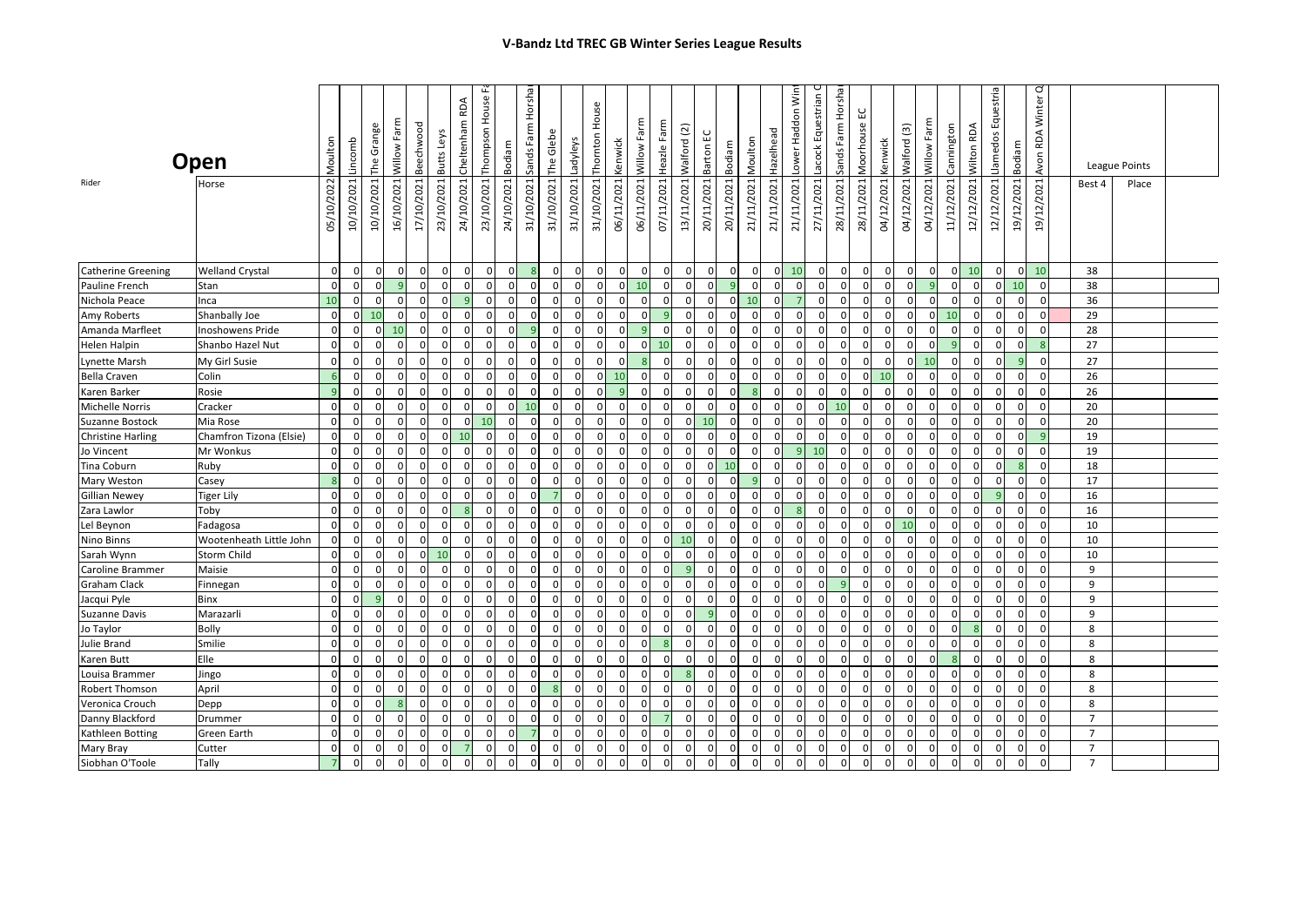|                                 | Open                             | Moulton        | Lincomb                  | The Grange     | Willow Farm             | Beechwood     | RDA<br>Cheltenham<br>Butts Leys | Thompson House                            | Bodiam                           | Horshar<br>Sands Farm | The Glebe     | Ladyleys                   | House<br>Thomton            | Kenwick                       | Willow Farm             | Heazle Farm      | $\overline{2}$<br>Walford | Barton EC               | Bodiam               | Moulton        | Hazelhead    | Lower Haddon Win     | Lacock Equestrian | Horshar<br>Sands Farm       | ٢<br>Moorhouse | Kenwick        | Willow Farm<br>$\widetilde{\Xi}$<br>Walford | Cannington                       | Wilton RDA                  | Llamedos Equestria                  | Bodiam                        | ♂<br>Winter<br>Avon RDA  |                | League Points |  |
|---------------------------------|----------------------------------|----------------|--------------------------|----------------|-------------------------|---------------|---------------------------------|-------------------------------------------|----------------------------------|-----------------------|---------------|----------------------------|-----------------------------|-------------------------------|-------------------------|------------------|---------------------------|-------------------------|----------------------|----------------|--------------|----------------------|-------------------|-----------------------------|----------------|----------------|---------------------------------------------|----------------------------------|-----------------------------|-------------------------------------|-------------------------------|--------------------------|----------------|---------------|--|
| Rider                           | Horse                            | 05/10/2022     | 10/10/2021               | 10/10/2021     | 16/10/2021              | 17/10/2021    | 24/10/2021<br>23/10/2021        | 23/10/2021                                | 24/10/2021                       | 31/10/2021            | 31/10/2021    | 31/10/2021                 | 31/10/2021                  | 06/11/2021                    | 06/11/2021              | 07/11/2021       | 13/11/2021                | 20/11/2021              | 20/11/2021           | 21/11/2021     | 21/11/2021   | 21/11/2021           | 27/11/2021        | 28/11/2021                  | 28/11/2021     | 04/12/2021     | 04/12/2021<br>04/12/2021                    | 11/12/2021                       | 12/12/2021                  | 12/12/2021                          | 19/12/2021                    | 19/12/2021               | Best 4         | Place         |  |
|                                 |                                  |                |                          |                |                         |               |                                 |                                           |                                  |                       |               |                            |                             |                               |                         |                  |                           |                         |                      |                |              |                      |                   |                             |                |                |                                             |                                  |                             |                                     |                               |                          |                |               |  |
| <b>Catherine Greening</b>       | <b>Welland Crystal</b>           | $\overline{0}$ | $\mathbf 0$              | $\mathbf{0}$   | $\mathbf 0$<br>9        | $\mathbf{0}$  | $\overline{0}$                  | $\mathbf{0}$<br>$\mathbf 0$               | $\overline{0}$<br>$\overline{0}$ | 8                     | $\mathbf 0$   | $\mathbf 0$                | $\mathbf 0$<br>$\mathbf{0}$ | $\mathbf 0$<br>$\overline{0}$ | $\mathbf 0$             | $\mathbf 0$      | $\mathbf 0$               | $\mathbf 0$             | $\mathbf 0$          | $\overline{0}$ | 0            | 10                   | $\mathbf 0$       | $\mathbf 0$<br>$\mathbf{0}$ | $\mathbf 0$    | $\overline{0}$ | $\mathbf 0$                                 | $\mathbf 0$                      | 0 <br>10<br>$\overline{0}$  |                                     | $\mathbf 0$<br>$\overline{0}$ | 10                       | 38             |               |  |
| Pauline French                  | Stan                             | $\mathbf 0$    | $\overline{0}$           |                |                         | $\mathbf 0$   | $\Omega$                        | $\mathbf 0$<br>$\overline{0}$             |                                  | $\Omega$<br>$\Omega$  | $\mathbf 0$   | $\mathbf 0$                |                             |                               | 10                      | 0                | $\mathbf{0}$              | $\overline{0}$          | 9                    | 0              | $\mathbf{0}$ | $\mathbf 0$          | $\mathbf 0$       |                             | $\mathbf 0$    | $\Omega$       | $\mathbf{0}$                                | 9                                | $\Omega$                    | $\Omega$                            | $\overline{0}$<br>10          | $\mathbf 0$              | 38             |               |  |
| Nichola Peace                   | Inca                             | 10<br>$\Omega$ | $\mathbf{0}$<br>$\Omega$ | $\Omega$<br>10 | $\mathbf 0$<br>$\Omega$ | 0<br>$\Omega$ | 0                               | 9<br>$\mathbf{0}$<br>$\Omega$<br>$\Omega$ | $\overline{0}$<br>$\Omega$       |                       | 0<br>$\Omega$ | $\mathbf{C}$<br>$\sqrt{2}$ | 0<br>$\Omega$               | 0<br>$\Omega$                 | $\mathbf 0$<br>$\Omega$ | 0                | 0<br>$\Omega$             | $\mathbf 0$<br>$\Omega$ | $\Omega$<br>$\Omega$ | 10             | 0            | $\Omega$             | $\Omega$          | $\mathbf 0$<br>$\Omega$     | 0<br>$\Omega$  | 0              | $\Omega$<br>$\Omega$                        | $\overline{0}$<br>$\Omega$<br>10 | $\mathbf{0}$                | $\Omega$                            | 0<br>-0                       | $\Omega$<br>$\mathsf{C}$ | 36<br>29       |               |  |
| Amy Roberts<br>Amanda Marfleet  | Shanbally Joe<br>noshowens Pride | $\Omega$       | $\Omega$                 | $\Omega$       | 10                      | $\Omega$      |                                 | $\Omega$<br>$\Omega$                      | $\Omega$                         |                       | $\Omega$      | $\mathsf{C}$               | $\Omega$                    | $\Omega$                      |                         | $\Omega$         | $\Omega$                  | $\Omega$                | $\Omega$             |                | $\Omega$     | $\Omega$             | $\Omega$          | $\Omega$                    | $\Omega$       |                | $\Omega$                                    | $\Omega$                         | $\Omega$                    |                                     | $\Omega$<br>$\Omega$          | $\Omega$                 | 28             |               |  |
| Helen Halpin                    | Shanbo Hazel Nut                 | $\mathbf 0$    | $\Omega$                 | n              | $\mathbf 0$             | $\Omega$      | <sup>0</sup>                    | $\Omega$<br>$\Omega$                      | $\Omega$                         | $\Omega$              | $\mathbf 0$   | $\Omega$                   | $\mathbf 0$                 | $\mathbf{0}$                  | $\Omega$                | 10               | $\Omega$                  | $\overline{0}$          | $\Omega$             | $\Omega$       | $\Omega$     | $\Omega$             | $\Omega$          | $\Omega$                    | $\Omega$       | $\Omega$       | $\Omega$                                    | $\Omega$                         | $\mathbf{q}$<br>$\Omega$    | $\mathbf{0}$                        | $\Omega$                      | 8                        | 27             |               |  |
|                                 |                                  | $\Omega$       |                          |                | $\Omega$                | $\Omega$      | $\Omega$                        | $\Omega$                                  | $\Omega$                         |                       | $\Omega$      |                            | $\Omega$                    | $\Omega$                      |                         | $\Omega$         | $\Omega$                  | $\Omega$                | $\Omega$             |                |              |                      |                   | $\Omega$                    | $\Omega$       |                |                                             |                                  | $\Omega$                    | $\Omega$                            |                               | $\Omega$                 | 27             |               |  |
| Lynette Marsh                   | My Girl Susie                    |                | $\mathbf 0$<br>$\Omega$  |                | $\Omega$                | $\Omega$      |                                 | $\Omega$<br>$\Omega$<br>$\Omega$          | $\Omega$                         |                       | $\mathbf 0$   | $\Omega$                   | n                           | 10                            | $\Omega$                |                  | $\Omega$                  | $\Omega$                | $\Omega$             | n              | $\Omega$     | $\Omega$<br>$\Omega$ | $\Omega$          | $\Omega$                    | $\Omega$       | 10             | 10                                          | $\Omega$                         | $\Omega$                    |                                     | $\mathbf 0$<br>$\Omega$       | $\Omega$                 |                |               |  |
| Bella Craven                    | Colin                            | $\overline{9}$ | $\mathbf 0$              | $\Omega$       | $\mathbf 0$             | $\Omega$      | <sup>0</sup>                    | $\mathbf 0$                               | $\overline{0}$<br>$\mathbf{0}$   |                       | $\mathbf 0$   | $\Omega$                   | $\Omega$                    | $\overline{9}$                | $\mathbf 0$             | 0                | $\mathbf 0$               | $\overline{0}$          | $\Omega$             |                | $\Omega$     | $\mathbf 0$          | $\Omega$          | $\mathbf 0$                 | $\Omega$       | $\Omega$       | $\Omega$<br>$\mathbf{0}$                    | $\mathbf{0}$                     | $\Omega$                    |                                     | $\Omega$<br>$\Omega$          | $\mathbf 0$              | 26<br>26       |               |  |
| Karen Barker<br>Michelle Norris | Rosie<br>Cracker                 | $\Omega$       | $\overline{0}$           | $\Omega$       | $\mathbf 0$             | $\mathbf 0$   | $\Omega$                        | $\mathbf{0}$<br>$\mathbf 0$               | $\Omega$                         | $\Omega$<br>10        | $\mathbf 0$   | $\Omega$                   | $\overline{0}$              | $\mathbf{0}$                  | $\mathbf 0$             | 0<br>$\mathbf 0$ | $\mathbf{0}$              | $\mathbf{0}$            | $\Omega$             | 8<br>$\Omega$  | $\Omega$     | $\overline{0}$       | $\mathbf 0$       | 10                          | $\mathbf 0$    | $\Omega$       | $\mathbf{0}$                                | $\mathbf 0$                      | $\Omega$                    | $\Omega$<br>$\mathbf 0$<br>$\Omega$ | $\Omega$                      | $\mathbf 0$              | 20             |               |  |
| Suzanne Bostock                 | Mia Rose                         | $\mathbf 0$    | $\mathbf 0$              | $\Omega$       | $\mathbf 0$             | $\mathbf 0$   | $\mathbf{0}$                    | $\overline{0}$<br>10                      | $\Omega$                         | $\Omega$              | $\mathbf 0$   | $\Omega$                   | $\mathbf{0}$                | $\mathbf 0$                   | $\mathbf 0$             | 0                | $\overline{0}$            | 10                      | $\Omega$             | $\Omega$       | $\Omega$     | $\mathbf{0}$         | $\Omega$          | $\mathbf 0$                 | $\mathbf 0$    | $\Omega$       | $\mathbf{0}$                                | $\overline{0}$                   | $\Omega$                    | $\Omega$                            | $\mathbf 0$<br>$\Omega$       | $\Omega$                 | 20             |               |  |
| <b>Christine Harling</b>        | Chamfron Tizona (Elsie)          | $\Omega$       | $\mathbf{0}$             |                | $\Omega$                | $\Omega$      | 10<br>$\Omega$                  | $\mathbf 0$                               | $\Omega$                         |                       | $\mathbf 0$   | C                          | $\mathbf{0}$                | $\Omega$                      | $\Omega$                | n                | $\Omega$                  | $\mathbf 0$             | $\Omega$             |                |              | $\Omega$             | $\Omega$          | $\Omega$                    | $\Omega$       |                | O                                           | $\Omega$                         | $\Omega$                    |                                     | $\Omega$                      | 9                        | 19             |               |  |
| Jo Vincent                      | Mr Wonkus                        | $\Omega$       | $\mathbf{0}$             | O              | $\Omega$                | 0             | 0                               | $\Omega$<br>$\Omega$                      | $\Omega$                         |                       | 0             | 0                          | $\mathbf{0}$                | $\mathbf{0}$                  | $\mathbf 0$             | 0                | 0                         | $\mathbf 0$             | $\Omega$             | n              | $\Omega$     | 9                    | 10                | $\Omega$                    | $\Omega$       | $\Omega$       | $\Omega$                                    | $\Omega$                         | $\Omega$                    |                                     | 0<br>0                        | $\mathbf 0$              | 19             |               |  |
| <b>Tina Coburn</b>              | Ruby                             | $\mathbf 0$    | $\overline{0}$           | 0              | $\mathbf 0$             | $\mathbf 0$   | 0                               | $\mathbf{0}$<br>$\mathbf 0$               | $\overline{0}$                   | $\Omega$              | $\mathbf 0$   | 0                          | $\overline{0}$              | $\mathbf 0$                   | $\overline{0}$          | $\mathbf{0}$     | $\mathbf 0$               | $\mathbf{0}$            | 10                   | 0              | 0            | $\mathbf{0}$         | $\mathbf 0$       | $\mathbf 0$                 | $\mathbf 0$    | $\mathbf{0}$   | $\mathbf{0}$                                | $\overline{0}$                   | $\mathbf 0$                 | $\Omega$                            | $\mathbf 0$<br>-8             | $\Omega$                 | 18             |               |  |
| <b>Mary Weston</b>              | Casey                            |                | $\mathbf{0}$             |                | $\mathbf 0$             | $\Omega$      | <sup>0</sup>                    | $\Omega$                                  | $\Omega$<br>$\mathbf{0}$         | $\Omega$              | $\mathbf{0}$  | $\Omega$                   | $\Omega$                    | $\Omega$                      | $\mathbf 0$             | <sup>0</sup>     | $\mathbf 0$               | 0                       | $\Omega$             |                | $\Omega$     | 0                    | $\Omega$          | $\mathbf{0}$                | $\Omega$       |                | $\Omega$                                    | $\overline{0}$                   | $\Omega$<br>n               |                                     | $\Omega$<br>$\Omega$          | $\Omega$                 | 17             |               |  |
| <b>Gillian Newey</b>            | <b>Tiger Lily</b>                | $\mathbf 0$    | $\mathbf{0}$             | $\Omega$       | $\mathbf 0$             | $\mathbf 0$   | $\Omega$                        | $\mathbf 0$                               | $\overline{0}$<br>$\overline{0}$ | $\Omega$              |               | $\Omega$                   | $\mathbf 0$                 | $\mathbf{0}$                  | $\mathbf 0$             | 0                | $\mathbf 0$               | $\overline{0}$          | $\overline{0}$       | $\Omega$       | $\Omega$     | $\mathbf{0}$         | $\Omega$          | $\mathbf 0$                 | $\mathbf 0$    | $\Omega$       | $\Omega$                                    | $\mathbf{0}$                     | $\mathbf 0$<br>$\Omega$     | <sub>9</sub>                        | $\Omega$                      | $\Omega$                 | 16             |               |  |
| Zara Lawlor                     | Toby                             | $\Omega$       | $\Omega$                 |                | $\Omega$                | $\Omega$      |                                 | $\Omega$<br>8                             | $\Omega$                         |                       | $\mathbf 0$   | O                          | $\Omega$                    | $\Omega$                      | $\mathbf 0$             | $\Omega$         | $\Omega$                  | $\mathbf 0$             | $\Omega$             | $\Omega$       | $\Omega$     | 8                    | $\Omega$          | $\Omega$                    | $\Omega$       |                | $\Omega$                                    | $\Omega$                         | $\Omega$                    | $\Omega$                            |                               | $\Omega$                 | 16             |               |  |
| Lel Beynon                      | Fadagosa                         | $\Omega$       | 0                        | n              | $\mathbf 0$             | 0             | $\Omega$                        | $\Omega$<br>$\mathbf 0$                   | $\mathbf{0}$                     | <sup>0</sup>          | 0             | 0                          | $\Omega$                    | 0                             | $\mathbf 0$             | 0                | $\Omega$                  | 0                       | $\mathbf 0$          | 0              | 0            | $\Omega$             | $\Omega$          | $\mathbf{0}$                | 0              |                | 10                                          | $\overline{0}$                   | $\Omega$                    |                                     | $\mathbf{0}$<br>0             | $\mathbf 0$              | 10             |               |  |
| Nino Binns                      | Wootenheath Little John          | $\Omega$       | $\Omega$                 | $\Omega$       | $\mathbf{0}$            | $\Omega$      | <sup>0</sup>                    | $\mathbf 0$                               | $\overline{0}$<br>$\Omega$       | n                     | $\Omega$      | $\Omega$                   | $\mathbf{0}$                | $\mathbf 0$                   | $\Omega$                | $\Omega$         | 10                        | $\mathbf{0}$            | $\Omega$             | $\Omega$       | $\Omega$     | $\Omega$             | <sup>0</sup>      | $\mathbf{0}$                | $\Omega$       | $\mathbf{0}$   | $\mathbf{0}$                                | $\Omega$                         | $\Omega$<br>n               |                                     | $\mathbf{0}$<br>$\Omega$      | $\Omega$                 | 10             |               |  |
| Sarah Wynn                      | <b>Storm Child</b>               | $\Omega$       | $\Omega$                 | $\Omega$       | $\Omega$                | $\Omega$      | 10                              | $\Omega$                                  | $\Omega$<br>$\Omega$             | $\Omega$              | $\mathbf 0$   | $\Omega$                   | $\Omega$                    | $\Omega$                      | $\mathbf 0$             | $\Omega$         | $\Omega$                  | $\overline{0}$          | $\Omega$             | $\Omega$       | $\Omega$     | $\Omega$             | $\Omega$          | $\Omega$                    | $\Omega$       | $\Omega$       | $\Omega$                                    | $\overline{0}$                   | $\Omega$                    | $\Omega$                            | $\Omega$<br>$\Omega$          | $\mathbf 0$              | 10             |               |  |
| Caroline Brammer                | Maisie                           | $\Omega$       | $\mathbf{0}$             | ∩              | $\mathbf 0$             | $\Omega$      | 0                               | $\mathbf 0$                               | $\Omega$<br>$\overline{0}$       | $\Omega$              | $\mathbf 0$   | $\Omega$                   | $\mathbf{0}$                | $\Omega$                      | $\mathbf 0$             | $\Omega$         | $\mathbf{q}$              | $\Omega$                | $\Omega$             | $\Omega$       | $\Omega$     | $\mathbf{0}$         | $\Omega$          | $\mathbf 0$                 | $\mathbf 0$    | $\Omega$       | $\Omega$                                    | $\mathbf{0}$                     | $\Omega$<br>$\Omega$        |                                     | $\mathbf 0$<br>$\Omega$       | $\Omega$                 | 9              |               |  |
| <b>Graham Clack</b>             | Finnegan                         | $\Omega$       | $\mathbf 0$              |                | $\Omega$                | $\Omega$      | $\Omega$                        | $\Omega$<br>$\Omega$                      | $\Omega$                         |                       | $\Omega$      | $\Omega$                   | $\Omega$                    | $\Omega$                      | $\Omega$                | $\Omega$         | $\Omega$                  | $\mathbf 0$             | $\Omega$             |                | $\Omega$     | $\Omega$             | $\Omega$          |                             | $\Omega$       | $\Omega$       | $\Omega$                                    | $\mathbf{0}$                     | $\Omega$                    |                                     | $\Omega$<br>$\Omega$          | $\Omega$                 | 9              |               |  |
| Jacqui Pyle                     | Binx                             | $\Omega$       | $\Omega$                 | q              | $\Omega$                | $\Omega$      | $\Omega$                        | $\Omega$<br>$\Omega$                      | $\Omega$                         |                       | $\mathbf 0$   | $\sqrt{ }$                 | $\Omega$                    | $\Omega$                      | $\Omega$                | $\Omega$         | $\Omega$                  | $\Omega$                | $\Omega$             | <sup>n</sup>   | $\Omega$     | $\Omega$             | $\Omega$          | $\mathbf 0$                 |                |                | $\Omega$                                    | $\Omega$                         | $\Omega$                    |                                     | $\mathbf 0$<br>$\Omega$       | $\Omega$                 | 9              |               |  |
| <b>Suzanne Davis</b>            | Marazarli                        | $\Omega$       | $\Omega$                 | $\Omega$       | $\mathbf 0$             | $\Omega$      | $\Omega$                        | $\Omega$                                  | $\overline{0}$<br>$\mathbf 0$    | $\Omega$              | $\mathbf 0$   | $\Omega$                   | $\Omega$                    | $\mathbf 0$                   | $\Omega$                | $\Omega$         | $\Omega$                  | 9                       | $\Omega$             | $\Omega$       | $\Omega$     | $\Omega$             | $\Omega$          | $\mathbf 0$                 | $\Omega$       | $\Omega$       | $\mathbf{0}$                                | $\overline{0}$                   | $\mathbf{0}$                | $\Omega$                            | $\Omega$<br>$\Omega$          | $\Omega$                 | 9              |               |  |
| Jo Taylor                       | <b>Bolly</b>                     | $\Omega$       | $\mathbf 0$              | $\Omega$       | $\mathbf 0$             | $\Omega$      | $\Omega$                        | $\mathbf 0$                               | $\overline{0}$<br>$\Omega$       | $\Omega$              | $\mathbf 0$   | $\Omega$                   | $\mathbf{0}$                | $\Omega$                      | $\mathbf 0$             | $\Omega$         | $\mathbf 0$               | $\mathbf{0}$            | $\Omega$             | $\Omega$       | $\Omega$     | $\mathbf 0$          | $\Omega$          | $\mathbf 0$                 | $\mathbf 0$    | $\Omega$       | $\mathbf{0}$                                | $\mathbf 0$                      | $\Omega$                    |                                     | $\Omega$<br>$\Omega$          | $\Omega$                 | 8              |               |  |
| Julie Brand                     | Smilie                           | $\mathbf 0$    | $\mathbf{0}$             | $\Omega$       | $\mathbf 0$             | $\mathbf 0$   | $\Omega$                        | $\mathbf 0$<br>$\mathbf{0}$               | $\Omega$                         | $\Omega$              | $\mathbf 0$   | $\Omega$                   | $\mathbf 0$                 | $\mathbf{0}$                  | $\mathbf 0$             | 8                | $\mathbf 0$               | $\mathbf 0$             | $\Omega$             | $\Omega$       | $\Omega$     | $\Omega$             | $\Omega$          | $\mathbf 0$                 | $\mathbf 0$    | $\Omega$       | $\Omega$                                    | $\overline{0}$                   | $\Omega$                    | $\mathbf 0$<br>$\Omega$             | $\Omega$                      | $\overline{0}$           | 8              |               |  |
| Karen Butt                      | Elle                             | $\mathbf 0$    | $\mathbf 0$              |                | $\mathbf 0$             | $\mathbf 0$   | $\Omega$                        | $\mathbf 0$<br>$\mathbf 0$                | $\overline{0}$                   |                       | $\mathbf 0$   | $\Omega$                   | $\mathbf 0$                 | $\Omega$                      | $\Omega$                | $\Omega$         | $\mathbf 0$               | $\Omega$                | $\Omega$             |                | $\Omega$     | $\Omega$             |                   | $\mathbf{0}$                | $\Omega$       |                | $\Omega$                                    | $\overline{0}$                   | $\mathbf{R}$                |                                     | $\mathbf 0$<br>$\Omega$       | $\Omega$                 | 8              |               |  |
| Louisa Brammer                  | Jingo                            | $\Omega$       | $\Omega$                 |                | $\Omega$                | $\Omega$      |                                 | $\Omega$<br>$\Omega$                      | $\Omega$                         |                       | $\mathbf{0}$  | C                          | $\Omega$                    | $\Omega$                      | $\Omega$                | 0                | 8                         | $\Omega$                | $\Omega$             |                | $\Omega$     | $\Omega$             | C                 | $\Omega$                    | n              |                | $\Omega$                                    | $\Omega$                         | $\Omega$                    |                                     | $\mathbf 0$<br>$\Omega$       | $\Omega$                 | 8              |               |  |
| Robert Thomson                  | April                            | $\mathbf 0$    | $\mathbf 0$              | $\Omega$       | $\mathbf 0$             | $\mathbf 0$   | $\Omega$                        | $\mathbf 0$<br>$\overline{0}$             | $\overline{0}$                   | $\Omega$              | 8             | $\mathbf{0}$               | $\mathbf{0}$                | $\mathbf{0}$                  | $\mathbf 0$             | 0                | $\mathbf 0$               | $\overline{0}$          | $\overline{0}$       | $\Omega$       | $\mathbf 0$  | $\overline{0}$       | $\Omega$          | $\mathbf 0$                 | $\mathbf 0$    | $\mathbf 0$    | $\overline{0}$                              | $\mathbf{0}$                     | $\overline{0}$              | $\Omega$                            | $\mathbf{0}$<br>0             | $\overline{0}$           | 8              |               |  |
| Veronica Crouch                 | Depp                             | $\Omega$       | $\mathbf 0$              | O              | $\mathbf{8}$            | 0             | $\Omega$                        | $\mathbf 0$<br>$\mathbf 0$                | $\Omega$                         | $\Omega$              | $\mathbf 0$   | $\Omega$                   | $\mathbf 0$                 | $\mathbf{0}$                  | $\mathbf{0}$            | 0                | $\mathbf 0$               | 0                       | $\Omega$             | $\Omega$       | $\Omega$     | $\mathbf 0$          | $\Omega$          | $\mathbf 0$                 | 0              | $\Omega$       | $\mathbf{0}$                                | $\mathbf 0$                      | $\Omega$                    | $\Omega$<br>$\Omega$                | $\Omega$                      | $\mathbf 0$              | 8              |               |  |
| Danny Blackford                 | Drummer                          | $\mathbf 0$    | $\mathbf 0$              | $\Omega$       | $\mathsf 0$             | $\mathbf 0$   | $\Omega$                        | $\mathbf 0$                               | $\mathbf{0}$<br>$\mathbf{0}$     | n                     | $\mathbf 0$   | $\Omega$                   | $\mathbf{0}$                | $\mathbf 0$                   | $\mathbf 0$             |                  | $\mathbf 0$               | $\mathbf 0$             | $\Omega$             | $\Omega$       | 0            | $\mathbf{0}$         | $\Omega$          | $\mathbf 0$                 | $\mathbf 0$    | $\Omega$       | $\Omega$                                    | $\overline{0}$                   | $\mathbf{0}$<br>$\Omega$    |                                     | $\mathbf 0$<br>$\Omega$       | $\Omega$                 | $\overline{7}$ |               |  |
| Kathleen Botting                | Green Earth                      | $\Omega$       | $\Omega$                 |                | $\Omega$                | $\Omega$      |                                 | $\Omega$<br>$\Omega$                      | $\Omega$                         |                       | $\Omega$      |                            | $\Omega$                    | $\Omega$                      | $\Omega$                |                  | $\Omega$                  | $\Omega$                | $\Omega$             |                |              | $\Omega$             |                   | $\Omega$                    | $\Omega$       |                | O                                           | $\Omega$                         | $\Omega$                    | $\Omega$                            |                               | $\Omega$                 | $\overline{7}$ |               |  |
| Mary Bray                       | Cutter                           | $\Omega$       | 0                        | n              | $\Omega$                | 0             | 0                               |                                           | $\overline{0}$<br>$\overline{0}$ | $\Omega$              | $\mathbf 0$   | 0                          | $\Omega$                    | $\Omega$                      | $\mathbf 0$             | 0                | 0                         | 0                       | $\mathbf 0$          | n              | 0            | $\Omega$             | $\Omega$          | $\Omega$                    | 0              | $\Omega$       | 0                                           | $\mathbf{0}$                     | $\mathbf 0$<br><sup>0</sup> |                                     | 0<br>0                        | $\overline{0}$           | $\overline{7}$ |               |  |
| Siobhan O'Toole                 | Tally                            | $\overline{7}$ | $\overline{0}$           | $\mathbf{0}$   | $\mathbf 0$             | $\mathbf 0$   | $\overline{0}$                  | $\overline{0}$<br>$\mathbf{0}$            | $\mathbf 0$                      | $\mathbf 0$           | $\mathbf 0$   | $\mathbf 0$                | $\mathbf{0}$                | $\mathbf 0$                   | $\mathbf 0$             | $\overline{0}$   | $\overline{0}$            | $\overline{0}$          | $\mathbf 0$          | $\mathbf 0$    | $\mathbf{0}$ | $\mathbf 0$          | $\mathbf{0}$      | $\mathbf 0$                 | $\mathbf{0}$   | $\mathbf 0$    | $\mathbf 0$                                 | $\mathbf{0}$                     | $\overline{0}$              | $\mathbf{0}$                        | $\mathbf{0}$<br>$\mathbf 0$   | $\Omega$                 | $\overline{7}$ |               |  |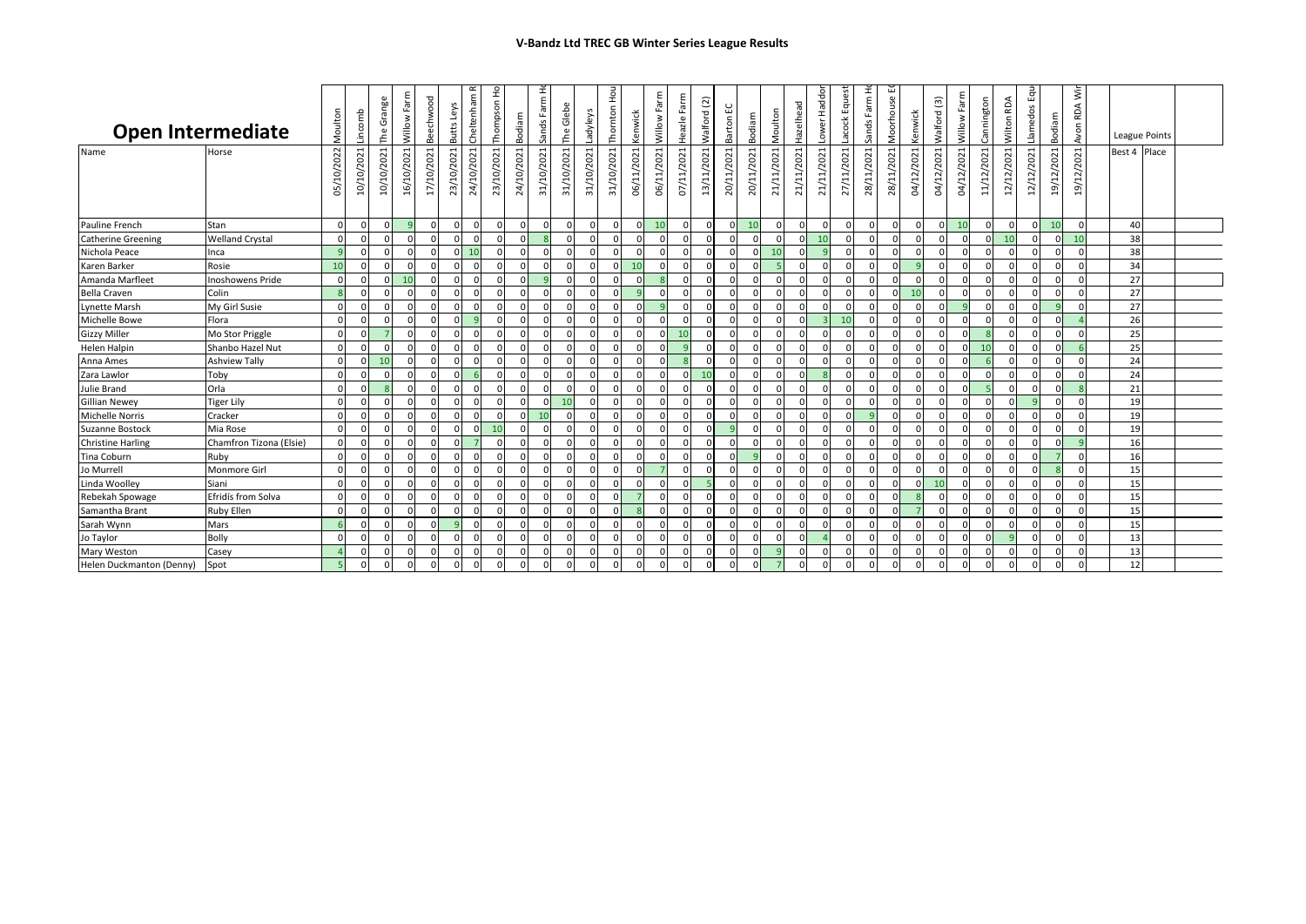| <b>Open Intermediate</b> |                         | Moulton         | Lincomb    | The Grange | Willow Farm | Beechwood  | Butts Leys | $\sim$<br>Cheltenham | Thompson Ho | Bodiam     | Sands Farm H | The Glebe  | Ladyleys   | Thornton Hou | Kenwick    | Farm<br>Willow  | Heazle Farm | <b>Nalford</b> (2) | 5<br>Barton | Bodiam     | Moulton    | Hazelhead  | Lower Haddor | Equest<br>acock | Ĩ<br>Sands Farm | Moorhouse E | Kenwick    | <b>Nalford</b> (3) | Farm<br>Willow | Cannington  | RDA<br>$\mathbf{C}$<br>Wilto | Equ<br>ő<br>Llamed | Bodiam         | RDA <sup>:</sup><br>Avon | League Points |  |
|--------------------------|-------------------------|-----------------|------------|------------|-------------|------------|------------|----------------------|-------------|------------|--------------|------------|------------|--------------|------------|-----------------|-------------|--------------------|-------------|------------|------------|------------|--------------|-----------------|-----------------|-------------|------------|--------------------|----------------|-------------|------------------------------|--------------------|----------------|--------------------------|---------------|--|
| Name                     | Horse                   | 05/10/2022      | 10/10/2021 | 10/10/2021 | 16/10/2021  | 17/10/2021 | 23/10/2021 | 24/10/2021           | 23/10/2021  | 24/10/2021 | 31/10/2021   | 31/10/2021 | 31/10/2021 | 31/10/2021   | 06/11/2021 | 06/11/2021      | 07/11/2021  | 13/11/2021         | 20/11/2021  | 20/11/2021 | 21/11/2021 | 21/11/2021 | 21/11/2021   | 27/11/2021      | 28/11/2021      | 28/11/2021  | 04/12/2021 | 04/12/2021         | 04/12/2021     | 11/12/2021  | 12/12/2021                   | 2021<br>12/12/     | 2021<br>19/12/ | 2021<br>19/12/           | Best 4 Place  |  |
| Pauline French           | Stan                    | $\overline{0}$  |            | $\Omega$   |             | $\Omega$   |            | $\mathbf 0$          | $\Omega$    | $\Omega$   |              | $\Omega$   |            | $\Omega$     | n          | 10 <sup>1</sup> |             | $\Omega$           |             | 10         |            |            |              | $\Omega$        |                 | $\Omega$    | $\Omega$   | $\Omega$           | 10             | $\mathbf 0$ | $\Omega$                     | $\Omega$           | 10             |                          | 40            |  |
| Catherine Greening       | <b>Welland Crystal</b>  | $\Omega$        |            |            |             | $\Omega$   |            | $\mathbf 0$          | $\sqrt{ }$  |            |              | $\Omega$   |            | $\sqrt{ }$   | ſ          | $\Omega$        |             |                    |             | $\Omega$   |            |            | 10           | $\Omega$        |                 |             |            | n                  | n              | n           | 10                           | $\Omega$           | $\Omega$       | 10                       | 38            |  |
| Nichola Peace            | Inca                    | $\mathbf{q}$    |            |            |             | $\Omega$   |            | 10                   | $\sqrt{ }$  | $\Omega$   |              | $\Omega$   |            | $\sqrt{ }$   | ſ          | $\Omega$        |             |                    |             | $\cap$     | 10         |            |              | $\Omega$        |                 |             |            | $\Omega$           | n              | n           | $\Omega$                     | $\Omega$           |                |                          | 38            |  |
| Karen Barker             | Rosie                   | 10 <sup>1</sup> |            |            |             | $\Omega$   |            | $\mathbf 0$          |             |            |              | $\Omega$   |            |              | 10         | $\Omega$        |             |                    |             |            |            |            |              | $\Omega$        |                 |             |            | $\Omega$           | n              | n           | $\Omega$                     | $\Omega$           |                |                          | 34            |  |
| Amanda Marfleet          | <b>Inoshowens Pride</b> | $\Omega$        |            |            | 10          |            |            | $\Omega$             |             |            |              | n          |            |              |            |                 |             |                    |             | $\Omega$   |            |            |              |                 |                 |             |            |                    |                |             |                              |                    |                |                          | 27            |  |
| <b>Bella Craven</b>      | Colin                   | $\mathbf{R}$    |            |            |             |            |            | $\Omega$             |             |            |              | n          |            |              |            | $\Omega$        |             |                    |             | $\Omega$   |            |            |              |                 |                 |             |            |                    |                |             |                              |                    |                |                          | 27            |  |
| Lynette Marsh            | My Girl Susie           | $\Omega$        |            |            |             |            |            | $\Omega$             |             |            |              | $\Omega$   |            |              |            | <b>Q</b>        |             |                    |             | $\Omega$   |            |            |              |                 |                 |             |            |                    |                |             | $\Omega$                     | $\Omega$           |                |                          | 27            |  |
| Michelle Bowe            | Flora                   | $\Omega$        |            |            |             | $\Omega$   |            | $\mathbf{q}$         | $\Omega$    | $\Omega$   |              | $\Omega$   |            | $\Omega$     | $\sqrt{ }$ | $\Omega$        |             |                    |             | $\Omega$   |            |            |              | 10              |                 |             |            |                    |                |             | $\Omega$                     | $\Omega$           |                |                          | 26            |  |
| <b>Gizzy Miller</b>      | Mo Stor Priggle         | $\mathbf{0}$    |            |            |             | $\Omega$   |            | $\Omega$             | $\Omega$    | $\Omega$   |              | $\Omega$   |            | $\sqrt{ }$   | $\sqrt{ }$ | $\Omega$        | 10          |                    |             | $\Omega$   |            |            |              | $\Omega$        |                 |             |            | $\Omega$           |                |             | $\Omega$                     | $\Omega$           |                |                          | 25            |  |
| Helen Halpin             | Shanbo Hazel Nut        | $\Omega$        |            |            |             |            |            | $\Omega$             |             |            |              | $\Omega$   |            |              |            | $\Omega$        |             |                    |             |            |            |            |              |                 |                 |             |            | n                  |                | 10          | $\Omega$                     |                    |                |                          | 25            |  |
| Anna Ames                | <b>Ashview Tally</b>    | $\Omega$        |            | 10         |             |            |            | $\Omega$             |             | $\cap$     |              | $\Omega$   |            |              |            | $\Omega$        |             |                    |             |            |            |            |              |                 |                 |             |            | $\Omega$           |                |             | $\Omega$                     |                    |                |                          | 24            |  |
| Zara Lawlor              | Toby                    | $\Omega$        |            |            |             |            |            | 6                    |             |            |              | $\Omega$   |            |              |            | $\Omega$        |             | 10                 |             |            |            |            |              |                 |                 |             |            | $\Omega$           | n              | C           | $\Omega$                     |                    |                |                          | 24            |  |
| <b>Julie Brand</b>       | Orla                    | $\Omega$        |            |            |             | $\Omega$   |            | $\Omega$             |             |            |              | $\Omega$   |            |              |            | $\Omega$        |             |                    |             | $\Omega$   |            |            |              |                 |                 |             |            |                    | $\Omega$       |             |                              |                    |                |                          | 21            |  |
| <b>Gillian Newey</b>     | <b>Tiger Lily</b>       | $\Omega$        |            |            |             |            |            | $\Omega$             |             |            |              | 10         |            |              |            | $\Omega$        |             |                    |             | $\Omega$   |            |            |              |                 |                 |             |            |                    | $\Omega$       |             |                              |                    |                |                          | 19            |  |
| <b>Michelle Norris</b>   | Cracker                 | $\Omega$        |            |            |             | $\Omega$   |            | $\Omega$             |             |            | 10           | $\Omega$   |            | $\sqrt{2}$   |            | $\Omega$        |             |                    |             | $\Omega$   |            |            |              | $\Omega$        |                 |             |            | n                  | $\Omega$       | $\Omega$    | $\Omega$                     |                    |                |                          | 19            |  |
| <b>Suzanne Bostock</b>   | Mia Rose                | $\Omega$        |            |            |             | $\Omega$   |            | $\mathbf 0$          | 10          |            |              | $\Omega$   |            | $\sqrt{2}$   |            | $\Omega$        |             |                    |             | $\Omega$   |            |            |              |                 |                 |             |            |                    | $\Omega$       |             |                              |                    |                |                          | 19            |  |
| <b>Christine Harling</b> | Chamfron Tizona (Elsie) | $\Omega$        |            |            |             | $\Omega$   |            |                      | $\sqrt{ }$  |            |              | $\Omega$   |            | $\sqrt{ }$   |            | $\Omega$        |             |                    |             | $\Omega$   |            |            |              | $\Omega$        |                 |             |            | $\Omega$           | $\Omega$       |             |                              |                    |                |                          | 16            |  |
| Tina Coburn              | Ruby                    | $\Omega$        |            |            |             | $\Omega$   |            | $\Omega$             | $\Omega$    | $\Omega$   |              | $\Omega$   |            | $\sqrt{ }$   |            | $\Omega$        |             |                    |             | $\alpha$   |            |            |              | $\Omega$        |                 |             |            | n                  | $\Omega$       |             | $\Omega$                     | $\Omega$           |                |                          | 16            |  |
| Jo Murrell               | Monmore Girl            | $\Omega$        |            |            |             | $\Omega$   |            | $\Omega$             | $\Omega$    | $\cap$     |              | $\Omega$   |            | $\sqrt{ }$   | ſ          |                 |             |                    |             | $\Omega$   |            |            |              | $\Omega$        |                 |             |            | $\Omega$           | n              | n           | $\Omega$                     | $\Omega$           |                |                          | 15            |  |
| Linda Woolley            | Siani                   | $\Omega$        |            |            |             |            |            | $\Omega$             |             |            |              |            |            |              |            | $\Omega$        |             |                    |             | $\Omega$   |            |            |              | $\Omega$        |                 |             |            | 10                 |                |             |                              |                    |                |                          | 15            |  |
| Rebekah Spowage          | Efridís from Solva      | $\Omega$        |            |            |             | $\Omega$   |            | $\Omega$             | $\sqrt{2}$  | $\Omega$   |              | $\Omega$   |            | $\sqrt{2}$   |            | $\Omega$        |             |                    |             | $\Omega$   |            |            |              | $\Omega$        |                 |             |            | $\Omega$           | $\Omega$       | $\Omega$    | $\Omega$                     | $\Omega$           | $\Omega$       |                          | 15            |  |
| Samantha Brant           | Ruby Ellen              | $\Omega$        |            | $\Omega$   |             | $\Omega$   |            | $\Omega$             | $\sqrt{2}$  | $\Omega$   |              | $\Omega$   |            | $\sqrt{ }$   |            | $\Omega$        |             |                    |             | $\Omega$   |            |            |              | $\Omega$        |                 |             |            | $\Omega$           | $\Omega$       | $\Omega$    | $\Omega$                     | $\Omega$           | $\Omega$       | $\Omega$                 | 15            |  |
| Sarah Wynn               | Mars                    | 6               |            | $\Omega$   |             | $\Omega$   |            | $\Omega$             | $\Omega$    | $\Omega$   | $\sqrt{ }$   | $\Omega$   |            | $\Omega$     | $\sqrt{ }$ | $\Omega$        |             |                    |             | $\Omega$   |            |            |              | $\Omega$        |                 | $\Omega$    | $\Omega$   | $\Omega$           | $\Omega$       | $\Omega$    | $\Omega$                     | $\Omega$           | $\Omega$       | $\Omega$                 | 15            |  |
| Jo Taylor                | Bolly                   | $\Omega$        |            | $\Omega$   |             | $\Omega$   |            | $\Omega$             | $\Omega$    | $\Omega$   |              | $\Omega$   |            | $\Omega$     |            | $\Omega$        |             |                    |             | $\Omega$   |            |            |              | $\Omega$        |                 |             |            | $\Omega$           | $\Omega$       |             |                              | $\Omega$           |                |                          | 13            |  |
| Mary Weston              | Casey                   |                 |            |            |             | $\Omega$   |            | $\Omega$             |             | $\Omega$   |              | $\Omega$   |            | $\sqrt{ }$   |            | $\Omega$        |             |                    |             |            |            |            |              | $\Omega$        |                 |             |            | $\Omega$           | $\Omega$       | $\Omega$    | $\Omega$                     | $\Omega$           |                |                          | 13            |  |
| Helen Duckmanton (Denny) | Spot                    |                 | $\Omega$   | $\Omega$   |             |            |            | $\Omega$             | $\Omega$    | $\Omega$   |              | n          |            | n            | $\Omega$   | $\Omega$        |             |                    |             |            |            |            |              | $\Omega$        |                 |             |            | $\Omega$           | $\Omega$       | $\Omega$    | $\Omega$                     | $\Omega$           | <sup>0</sup>   |                          | 12            |  |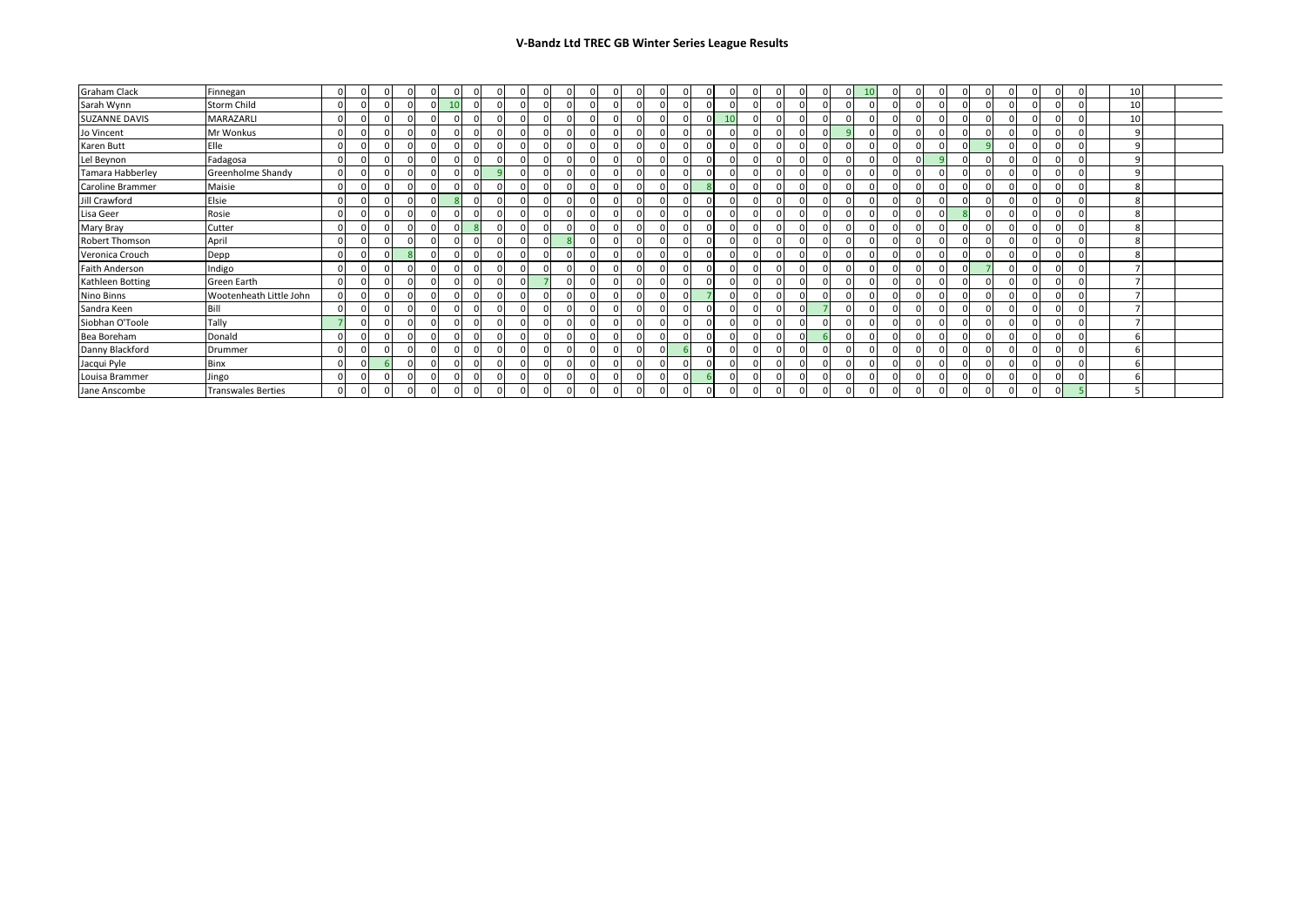| Graham Clack         | Finnegan                  |  |            |  |  | 0        |  |  |  |  |  |  |    |            | $\Omega$ |  | <b>10</b> |  |  |  |  |  |  | 10 |  |
|----------------------|---------------------------|--|------------|--|--|----------|--|--|--|--|--|--|----|------------|----------|--|-----------|--|--|--|--|--|--|----|--|
| Sarah Wynn           | Storm Child               |  |            |  |  | 0        |  |  |  |  |  |  |    |            |          |  |           |  |  |  |  |  |  | 10 |  |
| <b>SUZANNE DAVIS</b> | MARAZARLI                 |  |            |  |  | $\Omega$ |  |  |  |  |  |  | 10 |            |          |  |           |  |  |  |  |  |  | 10 |  |
| Jo Vincent           | Mr Wonkus                 |  |            |  |  | $\Omega$ |  |  |  |  |  |  |    |            |          |  |           |  |  |  |  |  |  |    |  |
| Karen Butt           | Elle                      |  |            |  |  | U        |  |  |  |  |  |  |    |            |          |  |           |  |  |  |  |  |  |    |  |
| Lel Beynon           | Fadagosa                  |  |            |  |  | $\Omega$ |  |  |  |  |  |  |    |            |          |  |           |  |  |  |  |  |  |    |  |
| Tamara Habberley     | Greenholme Shandy         |  |            |  |  |          |  |  |  |  |  |  |    |            |          |  |           |  |  |  |  |  |  |    |  |
| Caroline Brammer     | Maisie                    |  |            |  |  |          |  |  |  |  |  |  |    |            |          |  |           |  |  |  |  |  |  |    |  |
| Jill Crawford        | Elsie                     |  | $\sqrt{ }$ |  |  | U        |  |  |  |  |  |  |    | $\Omega$   |          |  |           |  |  |  |  |  |  |    |  |
| Lisa Geer            | Rosie                     |  |            |  |  |          |  |  |  |  |  |  |    |            |          |  |           |  |  |  |  |  |  |    |  |
| Mary Bray            | Cutter                    |  |            |  |  |          |  |  |  |  |  |  |    |            |          |  |           |  |  |  |  |  |  |    |  |
| Robert Thomson       | April                     |  |            |  |  | $\Omega$ |  |  |  |  |  |  |    |            |          |  |           |  |  |  |  |  |  |    |  |
| Veronica Crouch      | Depp                      |  | $\Omega$   |  |  | $\Omega$ |  |  |  |  |  |  |    | $\sqrt{ }$ |          |  |           |  |  |  |  |  |  |    |  |
| Faith Anderson       | Indigo                    |  | $\sqrt{2}$ |  |  |          |  |  |  |  |  |  |    | $\epsilon$ |          |  |           |  |  |  |  |  |  |    |  |
| Kathleen Botting     | Green Earth               |  |            |  |  |          |  |  |  |  |  |  |    |            |          |  |           |  |  |  |  |  |  |    |  |
| Nino Binns           | Wootenheath Little John   |  |            |  |  |          |  |  |  |  |  |  |    |            |          |  |           |  |  |  |  |  |  |    |  |
| Sandra Keen          | Bill                      |  |            |  |  | $\Omega$ |  |  |  |  |  |  |    |            | ΩI       |  |           |  |  |  |  |  |  |    |  |
| Siobhan O'Toole      | Tally                     |  | $\sqrt{2}$ |  |  | $\Omega$ |  |  |  |  |  |  |    |            |          |  |           |  |  |  |  |  |  |    |  |
| Bea Boreham          | Donald                    |  |            |  |  |          |  |  |  |  |  |  |    |            |          |  |           |  |  |  |  |  |  |    |  |
| Danny Blackford      | Drummer                   |  |            |  |  |          |  |  |  |  |  |  |    |            |          |  |           |  |  |  |  |  |  |    |  |
| Jacqui Pyle          | Binx                      |  |            |  |  |          |  |  |  |  |  |  |    |            |          |  |           |  |  |  |  |  |  |    |  |
| Louisa Brammer       | Jingo                     |  |            |  |  |          |  |  |  |  |  |  |    |            |          |  |           |  |  |  |  |  |  |    |  |
| Jane Anscombe        | <b>Transwales Berties</b> |  |            |  |  |          |  |  |  |  |  |  |    |            |          |  |           |  |  |  |  |  |  |    |  |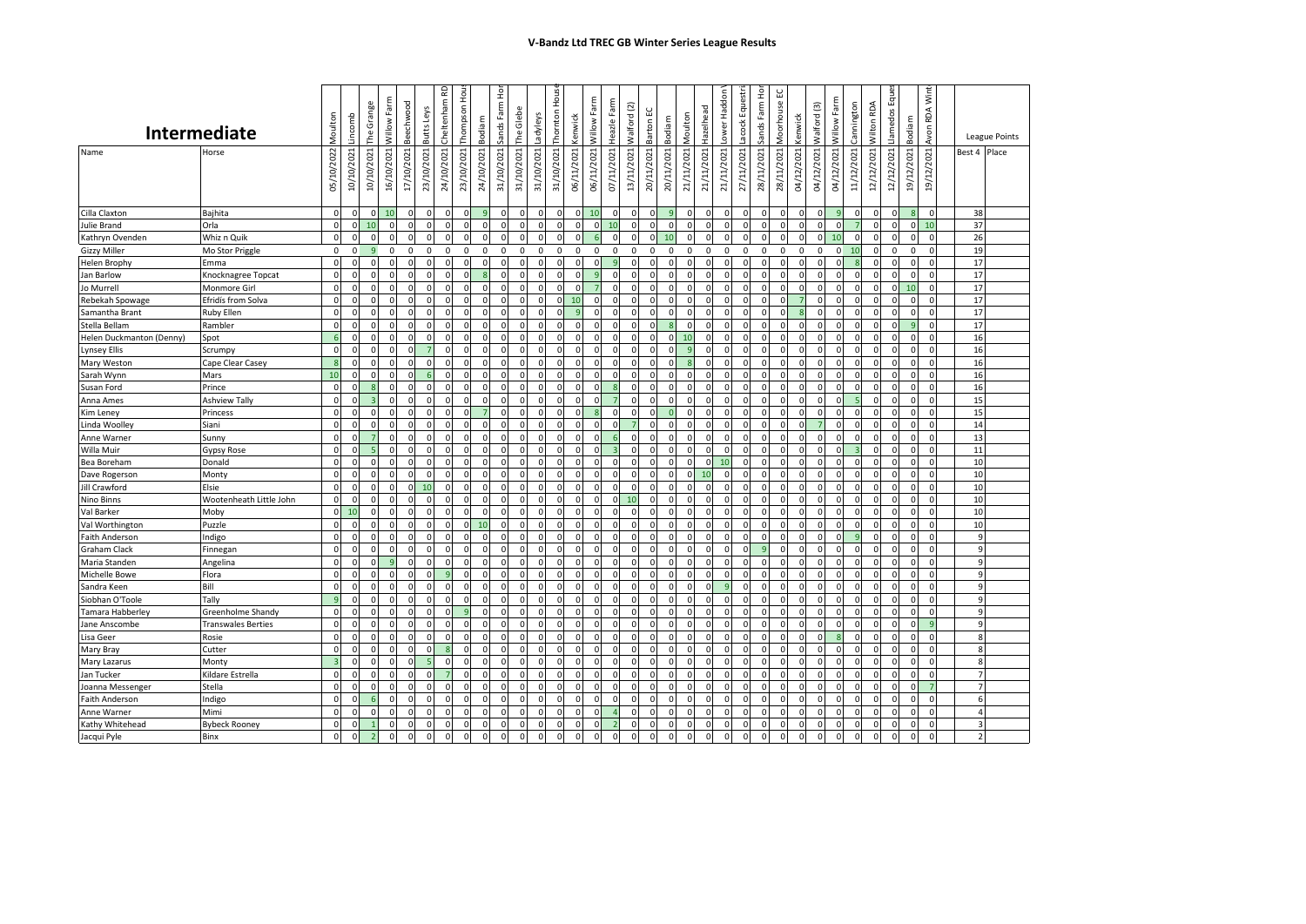|                          | Intermediate              | Moulton        | Lincomb        | The Grange     | Willow Farm  | Beechwood   | <b>ButtsLeys</b> | Cheltenham RD       | Thompson Hous | Bodiam       | Sands Farm Hor | The Glebe   | Ladyleys   | Thornton Hous | Kenwick        | Willow Farm  | Heazle Farm | Walford (2)         | Barton EC      | Bodiam       | Moulton      | ower Haddon<br>Hazelhead | acock Equestr              | Sands Farm Hor | Vloorhouse EC       | Kenwick     | Walford (3)  | Willow Farm    | Cannington   | <b>Nilton RDA</b> | Eque<br><b>Llamedos</b> | Bodiam       | <b>RDA Wint</b><br>Avon |                 | <b>League Points</b>    |
|--------------------------|---------------------------|----------------|----------------|----------------|--------------|-------------|------------------|---------------------|---------------|--------------|----------------|-------------|------------|---------------|----------------|--------------|-------------|---------------------|----------------|--------------|--------------|--------------------------|----------------------------|----------------|---------------------|-------------|--------------|----------------|--------------|-------------------|-------------------------|--------------|-------------------------|-----------------|-------------------------|
|                          |                           |                |                |                |              |             |                  |                     |               |              |                |             |            |               |                |              |             |                     |                |              |              |                          |                            |                |                     |             |              |                |              |                   |                         |              |                         |                 |                         |
| Name                     | Horse                     | 05/10/2022     | 10/10/2021     | 10/10/2021     | 16/10/2021   | 17/10/2021  | 23/10/2021       | 24/10/2021          | 23/10/2021    | 24/10/2021   | 31/10/2021     | 31/10/2021  | 31/10/2021 | 31/10/2021    | 06/11/2021     | 06/11/2021   | 07/11/2021  | 13/11/2021          | 20/11/2021     | 20/11/2021   | 21/11/2021   | 21/11/2021<br>21/11/2021 | 27/11/2021                 | 28/11/2021     | 28/11/2021          | 04/12/2021  | 04/12/2021   | 04/12/2021     | 11/12/2021   | 12/12/2021        | 12/12/2021              | 19/12/2021   | 19/12/2021              |                 | Best 4 Place            |
| Cilla Claxton            | Bajhita                   | $\mathbf 0$    | $\Omega$       | $\mathbf{0}$   | 10           | $\mathbf 0$ | $\mathbf 0$      | $\mathsf{O}\xspace$ | $\circ$       |              | $\mathbf{0}$   |             | $\Omega$   | $\Omega$      | $\mathbf 0$    | 10           | $\Omega$    | $\mathsf{O}\xspace$ | $\Omega$       | 9            | $\mathbf 0$  | $\Omega$                 | $\Omega$<br>$\Omega$       | $\mathbf 0$    | $\mathbf 0$         | $\mathbf 0$ | $\mathbf{0}$ | 9              | $\Omega$     | $\mathbf 0$       | $\Omega$                |              | $\Omega$                | 38              |                         |
| Julie Brand              | Orla                      | $\Omega$       | $\Omega$       | 10             | $\Omega$     | $\Omega$    | $\Omega$         | $\Omega$            | $\mathbf 0$   |              | $\Omega$       |             | $\Omega$   | $\Omega$      | $\mathbf 0$    | $\mathbf 0$  | 10          | 0                   | $\Omega$       |              | $\Omega$     | $\Omega$                 | $\Omega$<br>C              |                | $\mathbf 0$         | $\Omega$    | 0            | $\Omega$       |              | $\mathbf 0$       |                         | $\Omega$     | 10                      | 37              |                         |
| Kathryn Ovenden          | Whiz n Quik               | $\circ$        | $\mathbf 0$    | $\mathbf 0$    | $\mathbf 0$  | $\mathsf 0$ | $\Omega$         | $\mathbf 0$         | $\mathbf 0$   | $\Omega$     | $\mathbf{0}$   | $\Omega$    | $\Omega$   | $\Omega$      | $\mathbf 0$    |              | $\Omega$    | $\mathbf 0$         | $\mathsf{o}$   | 10           | $\Omega$     | $\Omega$                 | $\mathbf 0$<br>$\Omega$    | $\overline{0}$ | $\mathsf{O}\xspace$ | $\mathbf 0$ | $\mathbf{0}$ | 10             | 0            | $\mathbf{0}$      | $\Omega$                | $\mathbf{0}$ | $\mathbf 0$             | 26              |                         |
| <b>Gizzy Miller</b>      | Mo Stor Priggle           | $\mathbf 0$    | $\overline{0}$ | 9              | $\mathbf 0$  | $\mathbf 0$ | $\mathbf 0$      | 0                   | 0             | $\Omega$     | $\mathbf 0$    | $\mathbf 0$ | 0          | $\mathbf 0$   | $\mathbf 0$    | $\mathbf 0$  | $\Omega$    | $\mathbf 0$         | $\mathbf 0$    | $\mathbf 0$  | $\mathbf 0$  | $\mathbf 0$              | $\mathbf 0$<br>$\mathsf 0$ | $\mathbf 0$    | $\mathbf 0$         | $\mathbf 0$ | 0            | $\overline{0}$ | 10           | $\mathbf{0}$      | $\mathbf 0$             | 0            | $\Omega$                | 19              |                         |
| <b>Helen Brophy</b>      | Emma                      | $\Omega$       | $\Omega$       | $\mathbf 0$    | $\mathbf 0$  | $\mathbf 0$ | $\Omega$         | $\mathbf 0$         | $\circ$       | $\Omega$     | $\Omega$       | $\Omega$    | $\Omega$   | $\Omega$      | $\mathbf 0$    | $\mathbf 0$  | q           | $\mathbf 0$         | $\Omega$       | $\Omega$     | $\Omega$     | $\Omega$                 | $\Omega$<br>$\Omega$       | $\mathbf 0$    | $\mathbf 0$         | $\mathbf 0$ | $\mathbf{0}$ | $\Omega$       |              | $\mathbf 0$       | $\Omega$                | $\Omega$     | $\Omega$                | 17              |                         |
| Jan Barlow               | Knocknagree Topcat        | $\Omega$       | $\epsilon$     | $\Omega$       | $\Omega$     | $\Omega$    | $\Omega$         | $\Omega$            | $\Omega$      |              | $\Omega$       |             |            | $\Omega$      | $\Omega$       |              |             | $\Omega$            | $\mathbf{0}$   |              | $\Omega$     | $\Omega$                 | $\Omega$                   | $\Omega$       | $\Omega$            | $\Omega$    | <sup>0</sup> | $\Omega$       |              | $\mathbf{0}$      | $\Omega$                | $\Omega$     | $\Omega$                | 17              |                         |
| Jo Murrell               | Monmore Girl              | $\mathbf 0$    | $\Omega$       | $\mathbf 0$    | $\Omega$     | $\Omega$    | $\Omega$         | $\mathbf 0$         | $\mathbf{0}$  | $\Omega$     | $\Omega$       |             | $\Omega$   | $\Omega$      | $\Omega$       |              | $\Omega$    | $\Omega$            | $\overline{0}$ | $\Omega$     | $\Omega$     | $\Omega$<br>$\Omega$     | $\Omega$                   | $\Omega$       | $\Omega$            | $\Omega$    | $\mathbf{0}$ | $\mathbf 0$    | $\Omega$     | $\mathbf 0$       | $\Omega$                | 10           | $\Omega$                | 17              |                         |
| Rebekah Spowage          | Efridís from Solva        | $\mathbf 0$    | $\Omega$       | $\Omega$       | $\Omega$     | $\Omega$    | n                | $\mathbf 0$         | $\Omega$      | $\Omega$     | $\Omega$       |             | $\Omega$   | $\Omega$      | 10             | $\Omega$     | $\Omega$    | $\Omega$            | $\Omega$       | $\Omega$     | $\Omega$     | $\Omega$<br>$\Omega$     | $\Omega$                   | $\Omega$       | $\Omega$            |             | $\Omega$     | $\Omega$       | n            | $\mathbf 0$       | $\Omega$                | $\Omega$     | $\Omega$                | 17              |                         |
| Samantha Brant           | Ruby Ellen                | $\Omega$       | $\Omega$       | $\mathbf 0$    | $\mathbf 0$  | $\Omega$    | $\Omega$         | $\Omega$            | $\mathbf{0}$  | $\Omega$     | $\Omega$       |             | $\Omega$   | $\Omega$      | $\overline{9}$ | $\Omega$     | $\Omega$    | $\Omega$            | $\Omega$       | $\Omega$     | $\Omega$     | $\Omega$<br>$\Omega$     | $\Omega$                   | $\mathbf 0$    | $\Omega$            | <b>S</b>    | $\Omega$     | $\mathbf 0$    | $\Omega$     | $\mathbf{0}$      | $\Omega$                | $\Omega$     | $\Omega$                | 17              |                         |
| Stella Bellam            | Rambler                   | $\Omega$       | $\Omega$       | $\Omega$       | $\Omega$     | $\Omega$    |                  | $\Omega$            | $\Omega$      |              | $\Omega$       |             | $\Omega$   | $\Omega$      | $\Omega$       | $\Omega$     |             | O                   | $\Omega$       |              |              | $\mathsf{C}$             | $\Omega$                   |                | $\Omega$            |             | <sup>0</sup> | <sup>n</sup>   |              | $\Omega$          |                         |              | $\Omega$                | 17              |                         |
| Helen Duckmanton (Denny) | Spot                      | 6              | $\Omega$       | $\mathbf 0$    | $\mathbf 0$  | $\mathbf 0$ | $\Omega$         | $\mathbf 0$         | $\mathbf{0}$  | $\Omega$     | $\Omega$       | $\Omega$    | $\Omega$   | $\Omega$      | $\mathbf 0$    | $\mathbf 0$  | $\Omega$    | $\Omega$            | $\overline{0}$ | $\Omega$     | 10           | $\Omega$<br>$\Omega$     | $\mathbf 0$                | $\mathbf 0$    | $\mathbf 0$         | $\Omega$    | $\Omega$     | $\overline{0}$ | $\Omega$     | $\mathbf 0$       | $\Omega$                | $\Omega$     | $\Omega$                | 16              |                         |
| Lynsey Ellis             | Scrumpy                   | $\Omega$       | $\Omega$       | $\mathbf 0$    | $\mathbf 0$  | $\Omega$    |                  | $\mathbf 0$         | $\mathbf{0}$  | $\Omega$     | $\Omega$       |             | $\Omega$   | $\Omega$      | $\mathbf 0$    | $\mathbf 0$  | $\Omega$    | $\mathbf 0$         | $\Omega$       | $\Omega$     | $\mathbf{q}$ | $\Omega$<br>$\Omega$     | $\Omega$                   | 0              | $\mathbf 0$         | $\mathbf 0$ | $\mathbf{0}$ | $\Omega$       | n            | $\mathbf 0$       | $\Omega$                | $\Omega$     | $\Omega$                | 16              |                         |
| Mary Weston              | Cape Clear Casey          | 8              | $\Omega$       | $\Omega$       | $\Omega$     | $\mathbf 0$ | $\Omega$         | $\Omega$            | $\mathbf 0$   | $\Omega$     | $\Omega$       |             | $\Omega$   | $\Omega$      | $\mathbf 0$    | $\Omega$     | $\Omega$    | $\Omega$            | $\Omega$       | $\Omega$     |              | $\Omega$<br>$\Omega$     | $\Omega$                   | $\Omega$       | $\mathbf 0$         | $\Omega$    | $\Omega$     | $\Omega$       | n            | $\Omega$          |                         | $\Omega$     | $\Omega$                | 16              |                         |
| Sarah Wynn               | Mars                      | 10             | $\Omega$       | $\Omega$       | $\Omega$     | $\Omega$    |                  | $\mathbf 0$         | $\Omega$      | $\Omega$     | $\Omega$       |             | $\Omega$   | $\Omega$      | $\mathbf 0$    | $\Omega$     | $\Omega$    | $\mathbf 0$         | $\Omega$       | $\Omega$     | $\Omega$     | $\Omega$<br>$\Omega$     | $\Omega$                   | $\Omega$       | $\Omega$            | $\Omega$    | $\mathbf{0}$ | $\Omega$       |              | $\mathbf 0$       | $\Omega$                | $\Omega$     | $\Omega$                | 16              |                         |
| Susan Ford               | Prince                    | $\Omega$       | $\Omega$       | $\overline{8}$ | $\Omega$     | $\Omega$    | $\Omega$         | $\Omega$            | $\mathbf 0$   | $\Omega$     | $\Omega$       |             | $\Omega$   | $\Omega$      | $\mathbf 0$    | $\Omega$     |             | $\Omega$            | $\Omega$       | $\Omega$     | $\Omega$     | $\Omega$<br>$\Omega$     | $\Omega$                   | $\Omega$       | $\Omega$            | $\Omega$    | $\Omega$     | $\mathbf 0$    | $\Omega$     | $\Omega$          | $\Omega$                | $\Omega$     | $\Omega$                | 16              |                         |
| Anna Ames                | <b>Ashview Tally</b>      | $\mathbf 0$    | $\Omega$       | $\overline{3}$ | $\mathbf 0$  | 0           | $\Omega$         | $\mathbf 0$         | $\mathbf{0}$  | $\Omega$     | $\mathbf{0}$   |             | 0          | $\Omega$      | $\mathbf 0$    | 0            |             | $\mathbf 0$         | $\Omega$       | $\Omega$     | $\Omega$     | $\Omega$<br>$\Omega$     | $\mathbf 0$                | $\mathbf 0$    | $\mathbf 0$         | 0           | $\mathbf{0}$ | 0              |              | $\mathbf{0}$      | O                       | 0            | $\mathbf 0$             | 15              |                         |
| Kim Leney                | Princess                  | $\Omega$       | $\Omega$       | $\Omega$       | $\Omega$     | $\Omega$    | $\Omega$         | $\Omega$            | $\Omega$      |              | $\Omega$       |             | $\Omega$   | $\Omega$      | $\Omega$       |              | $\Omega$    | $\Omega$            | $\Omega$       | $\Omega$     | $\Omega$     | $\Omega$<br>$\Omega$     | $\Omega$                   | $\Omega$       | $\Omega$            | $\Omega$    | $\Omega$     | $\Omega$       | $\Omega$     | $\Omega$          | C                       | $\Omega$     | $\Omega$                | 15              |                         |
| Linda Woolley            | Siani                     | $\mathbf 0$    | $\Omega$       | $\mathbf 0$    | $\Omega$     | $\Omega$    |                  | $\mathbf 0$         | $\Omega$      |              | $\Omega$       |             | $\Omega$   | $\Omega$      | $\mathbf 0$    | $\Omega$     |             |                     | $\Omega$       |              |              | $\Omega$<br>$\Omega$     | $\Omega$                   | $\Omega$       | $\Omega$            |             |              | 0              |              | $\Omega$          |                         | $\Omega$     | $\Omega$                | 14              |                         |
| Anne Warner              | Sunny                     | $\Omega$       | $\Omega$       | $\overline{7}$ | $\Omega$     | $\Omega$    | $\Omega$         | $\Omega$            | $\Omega$      | $\Omega$     | $\Omega$       | $\Omega$    | $\Omega$   | $\Omega$      | $\mathbf 0$    | $\Omega$     |             | $\Omega$            | $\mathbf{0}$   | $\Omega$     | $\Omega$     | $\Omega$<br>$\Omega$     | $\mathbf 0$                | $\Omega$       | $\mathbf 0$         | $\Omega$    | $\Omega$     | $\overline{0}$ | $\Omega$     | $\Omega$          | $\Omega$                | $\Omega$     | $\Omega$                | 13              |                         |
| Willa Muir               | Gypsy Rose                | $\mathbf 0$    | $\Omega$       | 5              | $\mathbf 0$  | $\mathbf 0$ | $\mathbf 0$      | $\mathbf 0$         | $\circ$       | $\Omega$     | 0              | $\sqrt{ }$  | $\Omega$   | $\Omega$      | $\mathbf 0$    | $\Omega$     |             | $\mathbf 0$         | $\Omega$       | $\Omega$     | $\Omega$     | $\Omega$                 | $\Omega$<br>$\Omega$       | $\mathbf 0$    | $\mathsf{O}\xspace$ | $\mathbf 0$ | $\mathbf 0$  | <sup>0</sup>   |              | $\mathbf 0$       | $\Omega$                | $\Omega$     | $\Omega$                | $11\,$          |                         |
| Bea Boreham              | Donald                    | $\Omega$       | $\Omega$       | $\Omega$       |              | $\Omega$    |                  | $\Omega$            | $\Omega$      |              |                |             | $\Omega$   |               | $\Omega$       | $\Omega$     |             | $\Omega$            | $\Omega$       |              |              | $\Omega$<br>10           | $\Omega$                   |                | $\Omega$            | $\Omega$    | <sup>0</sup> | $\Omega$       |              | $\Omega$          |                         | O            | $\Omega$                | 10              |                         |
| Dave Rogerson            | Monty                     | $\mathbf 0$    | $\Omega$       | $\mathsf 0$    | $\Omega$     | $\Omega$    | $\Omega$         | $\mathbf 0$         | $\mathbf{0}$  | $\Omega$     | $\mathbf 0$    | $\Omega$    | $\Omega$   | $\Omega$      | $\mathbf 0$    | $\mathbf 0$  | $\Omega$    | $\mathsf{O}\xspace$ | $\Omega$       | $\Omega$     | $\Omega$     | 10                       | $\Omega$<br>$\mathbf 0$    | $\overline{0}$ | $\mathbf 0$         | $\Omega$    | $\mathbf{0}$ | $\mathbf 0$    | $\Omega$     | $\mathbf 0$       | $\Omega$                | $\Omega$     | $\Omega$                | 10              |                         |
| Jill Crawford            | Elsie                     | $\Omega$       | $\Omega$       | $\mathbf 0$    | $\mathbf 0$  | $\mathbf 0$ |                  | $\mathbf 0$         | $\circ$       | $\Omega$     | $\mathbf{0}$   |             | $\Omega$   | $\Omega$      | $\mathbf 0$    | $\mathbf 0$  | $\Omega$    | $\Omega$            | $\Omega$       | $\Omega$     | $\Omega$     | $\Omega$                 | $\Omega$                   | $\Omega$       | $\mathbf 0$         | $\Omega$    | 0            | $\Omega$       | $\Omega$     | $\mathbf 0$       |                         | $\Omega$     | $\Omega$                | 10 <sup>1</sup> |                         |
| Nino Binns               | Wootenheath Little John   | $\mathbf 0$    | $\Omega$       | $\mathbf 0$    | $\mathbf 0$  | $\mathsf 0$ | $\mathbf 0$      | $\mathsf{O}\xspace$ | $\mathbf{0}$  | $\Omega$     | $\mathbf{0}$   |             | $\Omega$   | $\Omega$      | $\mathbf 0$    | $\mathbf 0$  | $\Omega$    | 10                  | $\mathbf 0$    | $\mathbf 0$  | $\Omega$     | $\Omega$                 | $\Omega$<br>$\Omega$       | $\Omega$       | $\mathbf 0$         | $\mathbf 0$ | $\mathbf 0$  | $\mathbf 0$    | n            | $\mathbf 0$       | $\Omega$                | $\Omega$     | $\Omega$                | 10              |                         |
| Val Barker               | Moby                      | $\Omega$       | 10             | $\Omega$       | $\mathbf 0$  | $\mathbf 0$ | $\Omega$         | $\Omega$            | $\circ$       | $\Omega$     | $\Omega$       |             | $\Omega$   | $\Omega$      | $\mathbf 0$    | $\mathbf 0$  | $\Omega$    | $\Omega$            | $\Omega$       | $\Omega$     | $\Omega$     | $\Omega$                 | $\Omega$<br>C              | $\Omega$       | $\mathbf 0$         | $\Omega$    | <sup>0</sup> | <sup>0</sup>   | $\Omega$     | $\mathbf{0}$      | $\Omega$                | $\Omega$     | $\Omega$                | 10              |                         |
| Val Worthington          | Puzzle                    | $\mathbf 0$    | $\Omega$       | $\mathbf 0$    | $\Omega$     | $\Omega$    | $\Omega$         | $\mathbf 0$         | $\mathbf{0}$  | 10           | $\Omega$       |             | $\Omega$   | $\Omega$      | $\mathbf 0$    | $\Omega$     |             | $\mathbf 0$         | $\Omega$       | $\Omega$     |              | $\Omega$<br>$\Omega$     | $\Omega$                   | $\Omega$       | $\Omega$            | $\Omega$    | $\mathbf{0}$ | $\Omega$       |              | $\mathbf 0$       |                         | $\Omega$     | $\Omega$                | 10              |                         |
| <b>Faith Anderson</b>    | Indigo                    | $\mathbf 0$    | $\Omega$       | $\mathbf 0$    | $\mathbf 0$  | 0           | $\Omega$         | $\mathbf 0$         | $\mathbf{0}$  | $\Omega$     | $\mathbf{0}$   | $\Omega$    | $\Omega$   | $\Omega$      | $\mathbf 0$    | $\mathbf 0$  | $\Omega$    | $\mathbf 0$         | $\overline{0}$ | $\Omega$     | $\mathbf 0$  | $\Omega$<br>$\Omega$     | 0                          | 0              | $\mathbf 0$         | 0           | $\mathbf{0}$ | $\Omega$       | $\mathbf{q}$ | $\mathbf{0}$      | $\Omega$                | $\Omega$     | $\Omega$                |                 | 9                       |
| Graham Clack             | Finnegan                  | $\Omega$       | $\Omega$       | $\mathbf 0$    | $\mathbf 0$  | $\Omega$    | $\Omega$         | $\mathbf 0$         | $\circ$       | $\Omega$     | $\Omega$       |             | $\Omega$   | $\Omega$      | $\mathbf 0$    | $\mathbf 0$  | $\Omega$    | $\mathbf 0$         | $\Omega$       | $\Omega$     | $\Omega$     | $\Omega$                 | $\Omega$<br>$\Omega$       | -9             | $\mathbf 0$         | $\mathbf 0$ | $\mathbf{0}$ | $\Omega$       | $\Omega$     | $\mathbf 0$       | $\Omega$                | $\Omega$     | $\Omega$                |                 | 9                       |
| Maria Standen            | Angelina                  | $\Omega$       | $\epsilon$     | $\Omega$       |              | $\Omega$    |                  | $\Omega$            | $\Omega$      |              | $\Omega$       |             | $\Omega$   | $\Omega$      | $\Omega$       | $\Omega$     |             | O                   | $\Omega$       |              |              | $\Omega$                 | $\Omega$                   |                | $\Omega$            |             | <sup>0</sup> | $\Omega$       |              | $\Omega$          |                         | $\Omega$     | $\Omega$                |                 | $\overline{9}$          |
| Michelle Bowe            | Flora                     | $\Omega$       | $\Omega$       | $\mathbf 0$    | $\Omega$     | $\Omega$    | $\Omega$         | 9                   | $\mathbf{0}$  | $\Omega$     | $\Omega$       |             | $\Omega$   | $\Omega$      | $\mathbf 0$    | $\Omega$     | $\Omega$    | $\mathbf 0$         | $\Omega$       | $\Omega$     | $\Omega$     | $\Omega$                 | $\Omega$<br>$\Omega$       | $\Omega$       | $\Omega$            | $\Omega$    | $\mathbf{0}$ | $\Omega$       | $\Omega$     | $\Omega$          | $\Omega$                | $\Omega$     | $\Omega$                |                 | $\overline{9}$          |
| Sandra Keen              | Bill                      | $\Omega$       | $\Omega$       | $\mathbf 0$    | $\mathbf 0$  | $\mathbf 0$ | $\Omega$         | $\mathbf 0$         | $\mathbf{0}$  | $\Omega$     | $\mathbf{0}$   | $\Omega$    | $\Omega$   | $\Omega$      | $\mathbf 0$    | $\mathbf 0$  | $\Omega$    | $\mathbf 0$         | $\mathbf 0$    | $\Omega$     | $\Omega$     | $\Omega$                 | $\Omega$<br>q              | 0              | $\mathbf 0$         | $\mathbf 0$ | $\mathbf{0}$ | $\mathbf 0$    | $\Omega$     | $\mathbf{0}$      | $\Omega$                | $\Omega$     | $\Omega$                |                 | 9                       |
| Siobhan O'Toole          | Tally                     | q              | $\Omega$       | $\mathbf 0$    | $\Omega$     | $\mathbf 0$ | $\Omega$         | $\mathbf 0$         | $\mathbf{0}$  | $\Omega$     | $\Omega$       |             | $\Omega$   | $\Omega$      | $\mathbf 0$    | $\Omega$     | $\Omega$    | $\mathbf 0$         | $\mathbf 0$    | $\Omega$     | $\Omega$     | $\Omega$                 | $\Omega$<br>$\Omega$       | $\Omega$       | $\mathbf 0$         | $\Omega$    | $\mathbf{0}$ | $\mathbf 0$    | $\Omega$     | $\mathbf 0$       | $\Omega$                | $\Omega$     | $\Omega$                |                 | $\overline{9}$          |
| Tamara Habberlev         | Greenholme Shandy         | $\Omega$       | $\Omega$       | $\Omega$       | $\Omega$     | $\Omega$    | $\Omega$         | $\Omega$            | $\ddot{q}$    | $\Omega$     | $\Omega$       |             | $\Omega$   | $\Omega$      | $\Omega$       | $\Omega$     |             | O                   | $\Omega$       | $\Omega$     | $\Omega$     | $\Omega$                 | $\Omega$                   | $\Omega$       | $\mathbf 0$         | $\Omega$    | <sup>0</sup> | <sup>0</sup>   |              | $\Omega$          | $\Omega$                | $\Omega$     | $\Omega$                |                 | 9                       |
| Jane Anscombe            | <b>Transwales Berties</b> | $\Omega$       | $\Omega$       | $\mathbf 0$    | $\Omega$     | $\Omega$    | $\Omega$         | $\mathbf 0$         | $\mathbf{0}$  | $\Omega$     | $\Omega$       |             | $\Omega$   | $\Omega$      | $\Omega$       | $\Omega$     |             | $\Omega$            | $\overline{0}$ | $\Omega$     | $\Omega$     | $\Omega$<br>$\Omega$     | $\Omega$                   | $\Omega$       | $\Omega$            | $\Omega$    | $\mathbf{0}$ | $\overline{0}$ | $\Omega$     | $\Omega$          | $\Omega$                | $\Omega$     |                         |                 | 9                       |
| Lisa Geer                | Rosie                     | $\mathbf 0$    | $\Omega$       | $\mathbf 0$    | $\Omega$     | 0           | $\Omega$         | $\mathbf 0$         | $\mathbf{0}$  | $\Omega$     | $\mathbf{0}$   | $\Omega$    | $\Omega$   | $\Omega$      | $\mathbf{0}$   | $\mathbf 0$  | $\Omega$    | $\mathbf 0$         | $\overline{0}$ | $\Omega$     | $\Omega$     | $\Omega$                 | $\mathbf 0$<br>$\Omega$    | $\Omega$       | $\mathbf 0$         | $\Omega$    | $\Omega$     | $\mathbf{R}$   | $\Omega$     | $\circ$           | $\Omega$                | $\Omega$     | $\Omega$                |                 | 8                       |
| Mary Bray                | Cutter                    | $\Omega$       | $\Omega$       | $\mathbf 0$    | $\Omega$     | $\Omega$    | $\Omega$         | $\overline{8}$      | $\mathbf 0$   | $\Omega$     | $\Omega$       | $\Omega$    | $\Omega$   | $\Omega$      | $\Omega$       | $\Omega$     | $\Omega$    | $\mathbf 0$         | $\Omega$       | $\Omega$     | $\Omega$     | $\Omega$                 | $\Omega$<br>$\Omega$       | $\Omega$       | $\Omega$            | $\Omega$    | $\Omega$     | $\mathbf 0$    | $\Omega$     | $\Omega$          | $\Omega$                | $\Omega$     | $\Omega$                |                 | 8                       |
| Mary Lazarus             | Monty                     | $\overline{a}$ | $\Omega$       | $\Omega$       | $\Omega$     | $\Omega$    |                  | $\mathbf 0$         | $\Omega$      |              | 0              |             | $\Omega$   | $\Omega$      | $\mathbf 0$    | $\Omega$     |             | $\Omega$            | $\Omega$       |              |              | $\Omega$                 | $\Omega$                   |                | $\Omega$            |             | 0            | <sup>0</sup>   |              | $\mathbf 0$       |                         | $\Omega$     | $\Omega$                |                 | 8                       |
| Jan Tucker               | Kildare Estrella          | $\Omega$       | $\Omega$       | $\mathbf 0$    | $\mathbf 0$  | $\mathbf 0$ | $\Omega$         | $\overline{7}$      | $\mathbf 0$   | $\Omega$     | $\Omega$       | $\Omega$    | $\Omega$   | $\Omega$      | $\mathbf 0$    | $\Omega$     | $\Omega$    | $\Omega$            | $\overline{0}$ | $\Omega$     | $\Omega$     | $\Omega$<br>$\Omega$     | $\mathbf 0$                | $\mathbf 0$    | $\Omega$            | $\Omega$    | $\mathbf{0}$ | $\overline{0}$ | $\Omega$     | $\Omega$          | $\Omega$                | $\Omega$     | $\Omega$                |                 | 7                       |
| Joanna Messenger         | Stella                    | $\mathbf 0$    | $\Omega$       | $\mathbf 0$    | $\mathbf 0$  | $\mathbf 0$ | $\Omega$         | $\mathbf 0$         | $\mathbf 0$   | $\Omega$     | 0              |             | $\Omega$   | $\Omega$      | $\mathbf 0$    | $\mathbf 0$  | $\Omega$    | $\mathbf 0$         | $\Omega$       | $\Omega$     | $\Omega$     | $\Omega$                 | $\Omega$<br>Ω              | $\Omega$       | $\mathbf 0$         | $\Omega$    | $\mathbf{0}$ | 0              | $\Omega$     | $\mathbf 0$       | $\mathsf{C}$            | $\Omega$     |                         |                 | $\overline{7}$          |
| <b>Faith Anderson</b>    | Indigo                    | $\Omega$       | $\Omega$       | 6              | $\Omega$     | $\Omega$    | $\Omega$         | $\Omega$            | $\Omega$      | $\Omega$     | $\Omega$       |             | $\Omega$   | $\Omega$      | $\mathbf 0$    | $\Omega$     | $\Omega$    | $\Omega$            | $\Omega$       | $\Omega$     | $\Omega$     | $\Omega$<br>n            | $\Omega$                   | $\Omega$       | $\Omega$            | $\Omega$    | $\Omega$     | $\Omega$       | $\Omega$     | $\Omega$          |                         | $\Omega$     | $\Omega$                |                 | $6 \mid$                |
| Anne Warner              | Mimi                      | $\mathbf 0$    | $\Omega$       | $\mathbf 0$    | $\mathbf 0$  | $\Omega$    | $\Omega$         | $\mathbf 0$         | $\mathbf{0}$  | $\Omega$     | $\mathbf 0$    |             | $\Omega$   | $\Omega$      | $\mathbf 0$    | $\Omega$     |             | $\mathsf{O}\xspace$ | $\mathbf{0}$   | $\mathbf 0$  | $\Omega$     | $\Omega$                 | $\Omega$<br>$\Omega$       | $\Omega$       | $\mathsf{O}\xspace$ | $\mathbf 0$ | $\mathbf 0$  | $\overline{0}$ | $\Omega$     | $\mathbf 0$       | $\Omega$                | $\Omega$     | $\Omega$                |                 | $\overline{4}$          |
| Kathy Whitehead          | <b>Bybeck Rooney</b>      | $\Omega$       | $\Omega$       |                | $\Omega$     | $\mathbf 0$ | $\Omega$         | $\Omega$            | $\mathbf 0$   | $\Omega$     | $\Omega$       |             | $\Omega$   | $\Omega$      | $\mathbf 0$    | $\Omega$     |             | $\Omega$            | $\Omega$       | $\Omega$     | $\Omega$     | $\Omega$<br>$\Omega$     | $\Omega$                   | $\Omega$       | $\mathbf 0$         | $\Omega$    | $\Omega$     | $\Omega$       | $\Omega$     | $\Omega$          | $\sqrt{2}$              | $\Omega$     | $\Omega$                |                 | $\overline{\mathbf{3}}$ |
| Jacqui Pyle              | Binx                      | $\overline{0}$ | $\mathsf 0$    | $\overline{2}$ | $\mathsf{O}$ | $\mathbf 0$ | $\mathbf 0$      | $\mathbf 0$         | $\mathbf 0$   | $\mathbf{0}$ | $\mathbf{0}$   | $\Omega$    | $\Omega$   | $\Omega$      | $\mathbf 0$    | $\mathsf{O}$ | $\Omega$    | $\mathbf 0$         | $\mathbf{0}$   | $\mathbf{0}$ | $\mathbf 0$  | $\mathbf{0}$             | $\mathbf 0$<br>$\mathbf 0$ | $\mathbf 0$    | $\mathbf 0$         | $\mathbf 0$ | $\mathbf 0$  | $\overline{0}$ | $\mathbf 0$  | $\mathbf{0}$      | $\mathbf{0}$            | $\Omega$     | $\Omega$                |                 | $\overline{2}$          |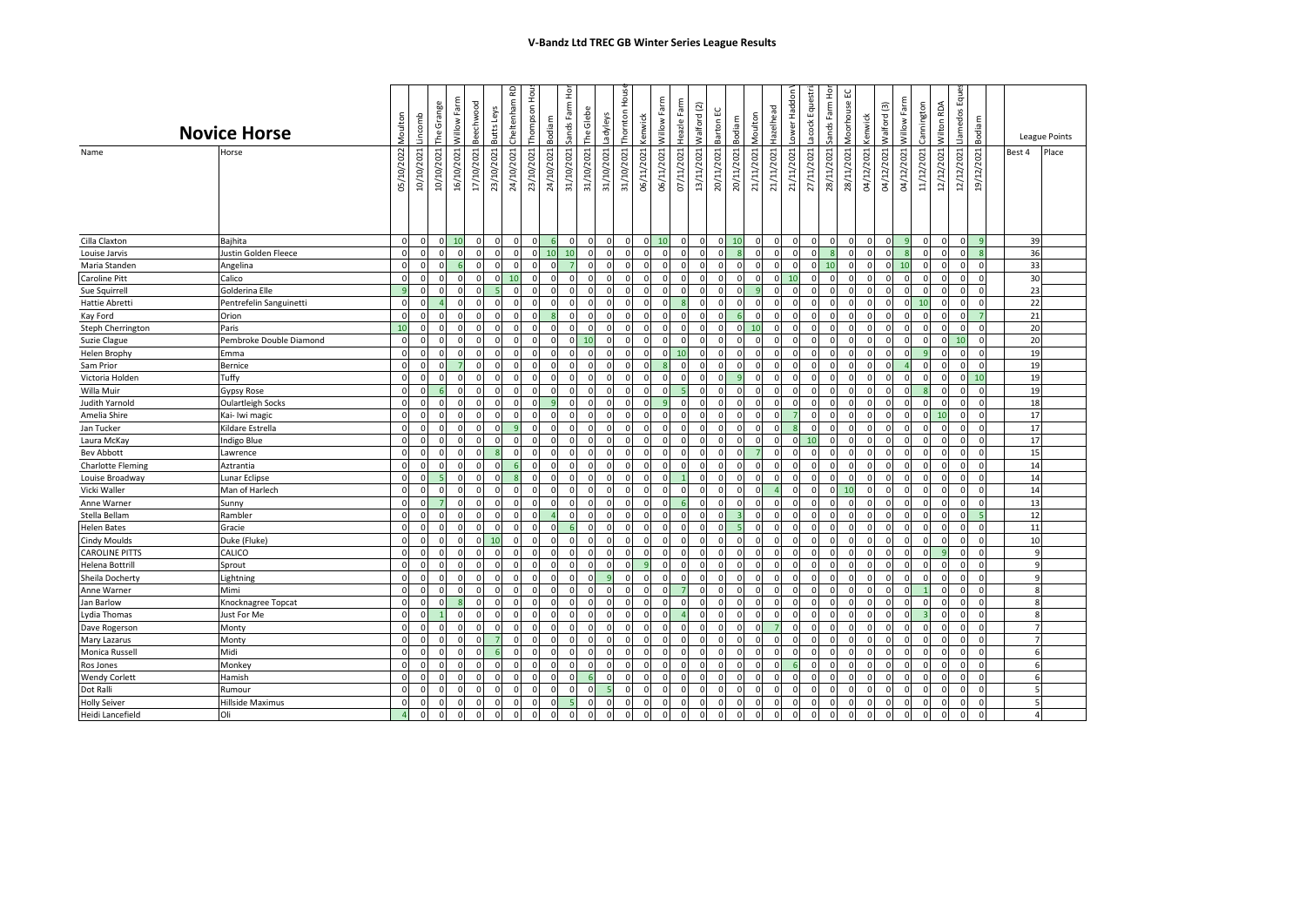|                          | <b>Novice Horse</b>     | Moulton        | incomb     | The Grange | Farm<br>Willow | Beechwood   | Butts Leys   | 윤<br>Cheltenham | Thompson Hou | Bodiam         | Sands Farm Hor | The Glebe  | Ladyleys       | Thornton Hous  | <b>kenwick</b> | Willow Farm   | Heazle Farm  | Nalford (2)  | Barton EC    | Moulton<br>Bodiam        | Hazelhead                  | ower Haddon    | Lacock Equestri | Sands Farm Ho | Vloorhouse EC | Kenwick      | Valford (3)    | Willow Farm              | Cannington     | Wilton RDA          | Llamedos Eques | Bodiam         |                         | League Points |
|--------------------------|-------------------------|----------------|------------|------------|----------------|-------------|--------------|-----------------|--------------|----------------|----------------|------------|----------------|----------------|----------------|---------------|--------------|--------------|--------------|--------------------------|----------------------------|----------------|-----------------|---------------|---------------|--------------|----------------|--------------------------|----------------|---------------------|----------------|----------------|-------------------------|---------------|
| Name                     | Horse                   | 05/10/2022     | 10/10/2021 | 10/10/2021 | 16/10/2021     | 17/10/2021  | 23/10/2021   | 24/10/2021      | 23/10/2021   | 24/10/2021     | 31/10/2021     | 31/10/2021 | 31/10/2021     | 31/10/2021     | 06/11/2021     | 06/11/2021    | 07/11/2021   | 13/11/2021   | 20/11/2021   | 21/11/2021<br>20/11/2021 | 21/11/2021                 | 21/11/2021     | 27/11/2021      | 28/11/2021    | 28/11/2021    | 04/12/2021   | 04/12/2021     | 04/12/2021<br>11/12/2021 |                | 12/12/2021          | 12/12/2021     | 19/12/2021     | Best 4                  | Place         |
| Cilla Claxton            | Baihita                 | $\overline{0}$ | $\Omega$   | οl         | 10             | $\mathbf 0$ | $\mathbf{0}$ | $\mathbf 0$     | $\Omega$     | 6              |                | $\Omega$   | $\overline{0}$ | $\overline{0}$ | $\circ$        | 10            | $\mathbf{0}$ | $\circ$      | οI           | 10                       | $\mathbf 0$<br>$\mathbf 0$ | $\circ$        | $\mathbf 0$     | $\mathbf 0$   | $\mathbf 0$   | $\mathbf{0}$ | $\circ$        | -9                       | $\mathbf{0}$   | $\mathbf 0$         | $\mathbf 0$    | q              | 39                      |               |
| Louise Jarvis            | Justin Golden Fleece    | $\Omega$       |            | $\Omega$   | $\Omega$       |             | $\Omega$     | $\Omega$        | $\Omega$     | 10             | 10             | $\Omega$   | $\mathbf 0$    | $\Omega$       | $\Omega$       | $\Omega$      | $\Omega$     | $\Omega$     | $\Omega$     | -8                       | $\Omega$<br>$\Omega$       | $\Omega$       | $\Omega$        | $\mathbf{R}$  | $\Omega$      | $\Omega$     | $\Omega$       | <b>R</b>                 | $\mathbf{0}$   | $\Omega$            |                | 8              | 36                      |               |
| Maria Standen            | Angelina                | $\mathbf{0}$   | $\Omega$   | $\Omega$   | 6              | ŋ           | $\mathbf 0$  | $\Omega$        | $\Omega$     | $\Omega$       |                | $\Omega$   | $\Omega$       | $\mathbf{0}$   | $\mathbf{0}$   | O             | $\mathbf 0$  | $\mathbf{0}$ | $\Omega$     | $\Omega$                 | $\Omega$<br>$\Omega$       | $\circ$        | $\mathbf 0$     | 10            | $\mathbf 0$   | $\mathbf{0}$ | $\overline{0}$ | 10                       | $\mathbf 0$    | $\mathbf 0$         | $\mathbf 0$    | $\mathsf{C}$   | 33                      |               |
| Caroline Pitt            | Calico                  | $\Omega$       |            | $\Omega$   | $\Omega$       |             | $\Omega$     | 10              |              | $\Omega$       |                |            |                | $\Omega$       | $\Omega$       |               | $\Omega$     | $\Omega$     |              |                          | $\Omega$<br>$\Omega$       |                |                 | $\Omega$      | $\Omega$      | $\Omega$     | $\Omega$       | $\Omega$                 | $\Omega$       | $\mathbf 0$         | $\Omega$       | $\Omega$       | 30                      |               |
| Sue Squirrell            | Golderina Elle          | $\overline{9}$ |            | $\Omega$   | $\Omega$       |             | J,           | $\Omega$        |              | $\Omega$       |                | $\Omega$   | $\Omega$       | $\Omega$       | $\mathbf 0$    | O             | $\mathbf 0$  | $\Omega$     |              |                          | $\Omega$                   | $\Omega$       | $\Omega$        | $\Omega$      | $\mathbf 0$   | $\mathbf{0}$ | $\mathbf{0}$   | O                        | $\mathbf 0$    | $\Omega$            |                | $\mathsf{C}$   | 23                      |               |
| <b>Hattie Abretti</b>    | Pentrefelin Sanguinetti | $\Omega$       |            |            | $\Omega$       |             | $\Omega$     | $\Omega$        | $\Omega$     | $\Omega$       |                | $\Omega$   | $\Omega$       | $\Omega$       | $\Omega$       |               |              | $\Omega$     |              | $\Omega$                 | $\Omega$                   | $\Omega$       | $\Omega$        | $\Omega$      | $\Omega$      | $\Omega$     | $\Omega$       | $\Omega$                 | 10             | $\Omega$            |                | $\mathcal{L}$  | 22                      |               |
| Kay Ford                 | Orion                   | $\circ$        |            | $\Omega$   | $\Omega$       |             | $\Omega$     |                 |              |                |                | $\Omega$   | $\Omega$       | $\Omega$       | $\Omega$       | $\sqrt{ }$    | $\Omega$     | $\Omega$     |              |                          | $\Omega$                   | <sup>0</sup>   |                 | $\Omega$      | $\Omega$      | $\Omega$     | $\Omega$       |                          | $\Omega$       | $\Omega$            |                |                | 21                      |               |
| Steph Cherrington        | Paris                   | 10             | O          | $\Omega$   | $\Omega$       | $\Omega$    | $\Omega$     | $\Omega$        | $\Omega$     | $\Omega$       | $\Omega$       | $\Omega$   | $\Omega$       | $\Omega$       | $\Omega$       | $\Omega$      | $\mathbf 0$  | $\mathbf{0}$ | $\Omega$     | 10<br>O                  | $\Omega$                   | $\Omega$       | $\Omega$        | $\Omega$      | $\Omega$      | $\Omega$     | $\Omega$       | $\Omega$                 | $\mathbf 0$    | $\Omega$            | $\Omega$       | $\sqrt{ }$     | 20                      |               |
| Suzie Clague             | Pembroke Double Diamond | $\circ$        | $\Omega$   | $\Omega$   | $\Omega$       |             | $\Omega$     | $\Omega$        | $\Omega$     | $\Omega$       |                | 10         | $\Omega$       | $\mathbf{0}$   | $\mathbf 0$    | $\Omega$      | $\mathbf 0$  | $\mathbf{0}$ | <sup>n</sup> | $\Omega$                 | $\Omega$<br>$\Omega$       | $\mathbf 0$    | $\Omega$        | $\Omega$      | $\Omega$      | $\circ$      | $\mathbf{0}$   | $\Omega$                 | $\mathbf 0$    | $\mathsf{O}\xspace$ | 10             | $\mathsf{C}$   | 20                      |               |
| <b>Helen Brophy</b>      | Emma                    | $\Omega$       |            | $\Omega$   | $\Omega$       |             | $\Omega$     | O               | $\Omega$     | $\Omega$       |                | $\Omega$   |                | $\mathbf{0}$   | $\Omega$       | $\sqrt{ }$    | 10           | $\Omega$     |              |                          | $\Omega$                   | $\Omega$       | $\Omega$        | $\Omega$      | $\Omega$      | $\Omega$     | $\Omega$       | $\Omega$                 | 9              | $\mathbf 0$         |                | $\Omega$       | 19                      |               |
| Sam Prior                | Bernice                 | $\Omega$       |            | n          |                |             | $\Omega$     | $\sqrt{ }$      | $\Omega$     | $\Omega$       |                | $\Omega$   | $\Omega$       | $\Omega$       | $\Omega$       |               | $\Omega$     | $\Omega$     |              |                          | $\Omega$                   | $\Omega$       | $\Omega$        | $\Omega$      | $\Omega$      | $\Omega$     | $\Omega$       |                          | $\Omega$       | $\Omega$            |                | $\sqrt{2}$     | 19                      |               |
| Victoria Holden          | Tuffy                   | $\mathbf 0$    |            | $\Omega$   | $\Omega$       |             | $\Omega$     |                 |              | n              |                | $\Omega$   |                | $\Omega$       |                | c             | $\Omega$     | $\Omega$     |              |                          | $\Omega$                   | $\Omega$       |                 | $\Omega$      | $\Omega$      | 0            | $\mathbf 0$    |                          | $\Omega$       | $\Omega$            |                | 10             | 19                      |               |
| Willa Muir               | Gypsy Rose              | $\circ$        | $\sqrt{2}$ | 6          | $\mathbf 0$    | $\Omega$    | $\Omega$     | $\Omega$        | $\Omega$     | $\Omega$       |                | $\Omega$   | $\Omega$       | $\mathbf{0}$   | $\Omega$       | $\sqrt{ }$    |              | $\mathbf{0}$ | $\Omega$     | $\Omega$                 | $\Omega$<br>$\Omega$       | $\Omega$       | $\Omega$        | $\Omega$      | $\Omega$      | $\circ$      | $\mathbf 0$    | $\Omega$                 | $\overline{8}$ | $\mathbf 0$         | $\Omega$       | $\mathfrak{c}$ | 19                      |               |
| Judith Yarnold           | Oulartleigh Socks       | $\circ$        |            | $\Omega$   | $\Omega$       |             | $\Omega$     | $\sqrt{ }$      |              | q              |                | $\Omega$   | $\Omega$       | $\Omega$       | $\Omega$       |               | $\mathbf 0$  | $\Omega$     |              |                          | $\Omega$                   | $\Omega$       |                 | $\Omega$      | $\Omega$      | $\Omega$     | $\mathbf 0$    |                          | $\Omega$       | $\Omega$            |                |                | 18                      |               |
| Amelia Shire             | Kai- Iwi magic          | $\overline{0}$ | $\Omega$   | $\Omega$   | $\Omega$       | n           | $\Omega$     | $\Omega$        | $\Omega$     | $\Omega$       |                | $\Omega$   | $\Omega$       | $\overline{0}$ | $\mathbf{0}$   | $\sqrt{ }$    | $\mathbf 0$  | $\mathbf{0}$ | <sup>n</sup> | O                        | $\Omega$<br>$\Omega$       | $\overline{7}$ | $\Omega$        | $\Omega$      | $\mathbf 0$   | $\mathbf{0}$ | $\overline{0}$ | $\Omega$                 | $\mathbf{0}$   | 10                  | $\Omega$       | $\sqrt{2}$     | 17                      |               |
| Jan Tucker               | Kildare Estrella        | $\Omega$       |            | $\Omega$   | $\Omega$       |             | $\Omega$     |                 | $\Omega$     | $\Omega$       |                | $\Omega$   | $\Omega$       | $\Omega$       | $\Omega$       | C             | $\Omega$     | $\Omega$     |              |                          | $\Omega$                   |                | $\Omega$        | $\Omega$      | $\Omega$      | $\Omega$     | $\Omega$       | $\Omega$                 | $\Omega$       | $\mathbf 0$         |                | $\sqrt{ }$     | 17                      |               |
| Laura McKay              | Indigo Blue             | $\Omega$       |            | $\Omega$   |                |             | $\Omega$     |                 |              | $\Omega$       |                | $\Omega$   |                | $\Omega$       | $\Omega$       |               | $\Omega$     | $\Omega$     |              |                          | $\Omega$                   | $\Omega$       | 10              | $\Omega$      | $\Omega$      | $\Omega$     | $\Omega$       |                          | $\Omega$       | $\Omega$            |                | $\epsilon$     | 17                      |               |
| <b>Bev Abbott</b>        | Lawrence                | $\overline{0}$ | $\Omega$   | $\Omega$   | $\Omega$       |             |              | $\Omega$        | $\Omega$     | $\Omega$       |                | $\Omega$   | $\Omega$       | $\Omega$       | $\mathbf 0$    |               | $\mathbf 0$  | $\Omega$     |              |                          | $\Omega$                   | $\mathbf 0$    | $\Omega$        | $\Omega$      | $\mathbf 0$   | $\circ$      | $\mathbf{0}$   | $\Omega$                 | $\mathsf 0$    | 0                   |                | $\mathsf{C}$   | 15                      |               |
| <b>Charlotte Fleming</b> | Aztrantia               | $\Omega$       | $\sqrt{ }$ | $\Omega$   | $\Omega$       |             | $\Omega$     |                 |              | $\Omega$       |                | $\Omega$   | $\Omega$       | $\Omega$       | $\Omega$       | $\sqrt{ }$    | $\Omega$     | $\Omega$     |              | C                        | $\Omega$                   | $\Omega$       |                 | $\Omega$      | $\Omega$      | $\Omega$     | $\Omega$       |                          | $\Omega$       | $\Omega$            |                | $\sqrt{2}$     | 14                      |               |
| Louise Broadway          | Lunar Eclipse           | $\Omega$       | $\sqrt{2}$ | -5         | $\Omega$       | n           | $\Omega$     | я               | $\Omega$     | $\Omega$       |                | $\Omega$   | $\Omega$       | $\Omega$       | $\Omega$       | $\sqrt{ }$    |              | $\Omega$     | $\Omega$     | $\sqrt{2}$               | $\Omega$<br>$\Omega$       | $\Omega$       | $\Omega$        | $\Omega$      | $\Omega$      | $\Omega$     | $\Omega$       | $\Omega$                 | $\mathbf 0$    | $\Omega$            | $\Omega$       | $\sqrt{2}$     | 14                      |               |
| Vicki Waller             | Man of Harlech          | $\overline{0}$ | O          | n          | $\Omega$       |             | $\Omega$     | $\Omega$        |              | $\Omega$       |                | $\Omega$   | n              | <sup>n</sup>   |                | O             | $\Omega$     | $\Omega$     |              |                          |                            | <sup>0</sup>   | $\Omega$        | $\Omega$      | 10            | $\Omega$     | $\Omega$       |                          | $\Omega$       | $\Omega$            |                | $\sqrt{2}$     | 14                      |               |
| Anne Warner              | Sunny                   | $\mathbf 0$    |            |            | $\Omega$       |             | $\Omega$     | $\sqrt{2}$      | $\Omega$     | $\Omega$       |                | $\Omega$   |                | $\Omega$       | $\Omega$       |               |              | $\Omega$     |              |                          | $\Omega$                   | $\mathbf 0$    |                 | $\Omega$      | $\Omega$      | $\Omega$     | $\Omega$       | n                        | $\mathbf 0$    | $\mathbf 0$         | n              | $\mathsf{C}$   | 13                      |               |
| Stella Bellam            | Rambler                 | $\mathbf 0$    |            | $\Omega$   | $\Omega$       |             | $\Omega$     | $\Omega$        |              |                |                | $\Omega$   | $\Omega$       | $\Omega$       | $\mathbf 0$    | $\sqrt{ }$    | $\mathbf 0$  | $\Omega$     |              | в                        | $\Omega$<br>$\Omega$       | $\mathbf 0$    | $\Omega$        | $\Omega$      | $\mathbf 0$   | $\circ$      | $\mathbf{0}$   | $\Omega$                 | $\mathbf 0$    | $\Omega$            |                | 5              | 12                      |               |
| <b>Helen Bates</b>       | Gracie                  | $\Omega$       |            | $\Omega$   |                |             | $\Omega$     |                 | $\sqrt{2}$   | n              |                | $\Omega$   |                | $\Omega$       | $\Omega$       |               | $\Omega$     | $\Omega$     |              |                          | $\Omega$                   | $\Omega$       |                 | $\Omega$      | $\Omega$      | $\Omega$     | $\Omega$       |                          | $\Omega$       | $\Omega$            |                |                | 11                      |               |
| <b>Cindy Moulds</b>      | Duke (Fluke)            | $\circ$        | $\sqrt{2}$ | $\Omega$   | $\Omega$       |             | 10           | $\Omega$        |              | $\Omega$       |                | $\Omega$   | $\Omega$       | $\Omega$       | $\Omega$       | $\sqrt{ }$    | $\mathbf 0$  | $\mathbf{0}$ | $\Omega$     | $\Omega$                 | $\Omega$<br>$\Omega$       | $\mathbf{0}$   | $\Omega$        | $\mathbf 0$   | $\Omega$      | $\mathbf{0}$ | $\mathbf{0}$   | $\Omega$                 | $\mathbf 0$    | $\mathsf{O}\xspace$ |                | $\sqrt{2}$     | 10                      |               |
| <b>CAROLINE PITTS</b>    | CALICO                  | $\Omega$       | $\sqrt{ }$ | $\Omega$   | $\Omega$       | $\Omega$    | $\Omega$     | $\Omega$        | $\Omega$     | $\Omega$       |                | $\Omega$   | $\Omega$       | $\Omega$       | $\Omega$       | $\sqrt{ }$    | $\Omega$     | $\Omega$     |              | $\sqrt{ }$               | $\Omega$<br>$\Omega$       | $\Omega$       | $\Omega$        | $\Omega$      | $\Omega$      | $\Omega$     | $\Omega$       | $\Omega$                 | $\Omega$       | 9                   |                | $\sqrt{2}$     | $\mathbf{q}$            |               |
| Helena Bottrill          | Sprout                  | $\circ$        | $\Omega$   | $\Omega$   | $\Omega$       | $\Omega$    | $\mathbf 0$  | $\Omega$        | $\Omega$     | $\Omega$       |                | $\Omega$   | $\Omega$       | οI             |                | $\Omega$      | $\mathbf 0$  | $\mathbf 0$  | $\Omega$     | $\Omega$                 | $\Omega$<br>$\Omega$       | $\circ$        | $\mathbf 0$     | $\Omega$      | $\mathbf 0$   | $\circ$      | $\mathbf 0$    | $\Omega$                 | 0              | 0                   | $\Omega$       | $\mathsf{C}$   | 9                       |               |
| Sheila Docherty          | Lightning               | $\Omega$       | C          | $\Omega$   | $\Omega$       |             | $\Omega$     | $\sqrt{2}$      |              | $\Omega$       |                |            |                | <sup>n</sup>   | $\Omega$       | n             | $\Omega$     | $\Omega$     |              |                          | $\Omega$                   | $\Omega$       |                 | $\Omega$      | $\Omega$      | $\Omega$     | $\Omega$       | n                        | $\Omega$       | $\mathbf 0$         |                | $\Omega$       | $\mathbf{q}$            |               |
| Anne Warner              | Mimi                    | $\Omega$       |            | $\Omega$   |                |             | £            |                 |              | $\Omega$       |                | $\Omega$   | $\Omega$       | $\Omega$       | $\Omega$       |               |              | $\Omega$     |              |                          | n                          | $\Omega$       | $\Omega$        | $\Omega$      | $\Omega$      | $\Omega$     | $\Omega$       |                          |                | $\Omega$            |                | C              | $\mathsf{\overline{R}}$ |               |
| Jan Barlow               | Knocknagree Topcat      | $\Omega$       |            |            | s              |             | $\Omega$     | $\sqrt{ }$      |              | $\Omega$       |                | $\Omega$   | $\Omega$       | $\Omega$       | $\Omega$       | $\mathcal{C}$ | $\Omega$     | $\Omega$     |              |                          | $\Omega$                   | $\Omega$       |                 | $\Omega$      | $\Omega$      | $\Omega$     | $\Omega$       | $\Omega$                 | $\mathbf 0$    | $\Omega$            |                |                | $\mathbf{R}$            |               |
| Lydia Thomas             | Just For Me             | $\Omega$       | $\epsilon$ |            | $\Omega$       |             | $\Omega$     | $\sqrt{ }$      | $\Omega$     | $\Omega$       |                | $\Omega$   | $\Omega$       | $\Omega$       | $\Omega$       | $\mathcal{C}$ |              | $\Omega$     |              | $\sqrt{ }$               | $\Omega$<br>$\Omega$       | $\Omega$       | $\Omega$        | $\Omega$      | $\Omega$      | $\Omega$     | $\Omega$       |                          |                | $\Omega$            |                | $\mathsf{C}$   | 8                       |               |
| Dave Rogerson            | Monty                   | $\Omega$       | $\Omega$   | $\Omega$   | $\Omega$       | $\Omega$    | $\Omega$     | $\Omega$        | $\Omega$     | $\Omega$       |                | $\Omega$   | $\Omega$       | $\Omega$       | $\Omega$       | $\Omega$      | $\Omega$     | $\Omega$     |              |                          |                            | $\Omega$       | $\Omega$        | $\Omega$      | $\Omega$      | $\Omega$     | $\Omega$       | $\Omega$                 | $\Omega$       | $\Omega$            |                | $\sqrt{2}$     | $\overline{7}$          |               |
| Mary Lazarus             | Monty                   | $\circ$        | O          | $\Omega$   | $\Omega$       |             |              | $\Omega$        | $\Omega$     | $\Omega$       |                | $\Omega$   | $\Omega$       | $\Omega$       | $\Omega$       | $\sqrt{ }$    | $\mathbf 0$  | $\mathbf{0}$ |              | n                        | $\Omega$<br>n              | $\mathbf 0$    | $\Omega$        | $\Omega$      | $\mathbf 0$   | $\mathbf{0}$ | $\mathbf{0}$   | $\Omega$                 | $\mathbf{0}$   | $\mathbf 0$         |                | $\Omega$       | $\overline{7}$          |               |
| Monica Russell           | Midi                    | $\circ$        |            | $\Omega$   | $\Omega$       |             |              | $\sqrt{2}$      | $\Omega$     | $\Omega$       |                | $\Omega$   | n              | $\Omega$       | $\Omega$       | n             | $\mathbf 0$  | $\Omega$     |              | n                        | $\Omega$                   | $\mathbf 0$    | $\Omega$        | $\Omega$      | $\Omega$      | $\Omega$     | $\Omega$       | n                        | $\mathbf 0$    | $\mathbf 0$         |                | $\Omega$       | 6                       |               |
| Ros Jones                | Monkey                  | $\Omega$       |            | $\Omega$   | $\Omega$       |             | $\Omega$     | $\sqrt{ }$      |              | $\Omega$       |                | $\Omega$   | $\Omega$       | $\Omega$       | $\Omega$       | C             | $\Omega$     | $\Omega$     |              | C                        | $\Omega$<br>$\Omega$       | 6              |                 | $\Omega$      | $\Omega$      | $\Omega$     | $\Omega$       | n                        | $\Omega$       | $\Omega$            |                | $\sqrt{2}$     | 6                       |               |
| <b>Wendy Corlett</b>     | Hamish                  | $\mathbf 0$    |            | $\Omega$   |                |             | $\Omega$     |                 | $\Omega$     | $\Omega$       |                |            | $\Omega$       | $\Omega$       | $\Omega$       |               | $\Omega$     | $\Omega$     |              |                          | $\Omega$                   | $\mathbf 0$    |                 | $\Omega$      | $\mathbf 0$   | $\Omega$     | $\mathbf 0$    |                          | $\mathbf 0$    | $\Omega$            |                |                | 6                       |               |
| Dot Ralli                | Rumour                  | $\overline{0}$ | $\sqrt{2}$ | $\Omega$   | $\Omega$       |             | $\Omega$     | $\sqrt{ }$      | $\Omega$     | $\Omega$       |                | $\sqrt{2}$ |                | $\Omega$       | $\Omega$       | $\sqrt{2}$    | $\Omega$     | $\mathbf{0}$ | $\Omega$     | $\Omega$                 | $\Omega$<br>$\Omega$       | $\mathbf{0}$   |                 | $\Omega$      | $\Omega$      | $\Omega$     | $\Omega$       | $\Omega$                 | $\mathbf 0$    | $\mathbf 0$         | $\Omega$       | $\sqrt{2}$     | 5                       |               |
| <b>Holly Seiver</b>      | Hillside Maximus        | $\Omega$       | O          | $\Omega$   | $\mathbf 0$    | $\Omega$    | $\Omega$     | $\Omega$        | $\Omega$     | $\Omega$       |                | $\Omega$   | $\Omega$       | $\Omega$       | $\Omega$       | $\sqrt{ }$    | $\mathbf 0$  | $\mathbf{0}$ | $\Omega$     | $\Omega$                 | $\Omega$<br>$\Omega$       | $\Omega$       | $\Omega$        | $\mathbf 0$   | $\mathbf 0$   | $\mathbf{0}$ | $\Omega$       | $\Omega$                 | $\mathbf{0}$   | $\mathbf 0$         | $\Omega$       | $\mathsf{C}$   | -5                      |               |
| Heidi Lancefield         | Oli                     | $\overline{4}$ | $\Omega$   | $\Omega$   | $\mathbf 0$    | $\Omega$    | $\Omega$     | $\mathbf 0$     | $\Omega$     | $\overline{0}$ | $\mathbf{0}$   | $\Omega$   | $\mathbf 0$    | $\mathbf{0}$   | $\mathbf{0}$   | $\mathbf 0$   | $\mathbf{0}$ | $\mathbf{0}$ | $\Omega$     |                          | $\Omega$                   | $\overline{0}$ | $\mathbf 0$     | $\mathbf 0$   | $\mathbf 0$   | $\circ$      | $\mathbf{0}$   | $\mathbf 0$              | $\mathbf{0}$   | $\mathbf 0$         |                |                | 4 <sup>1</sup>          |               |